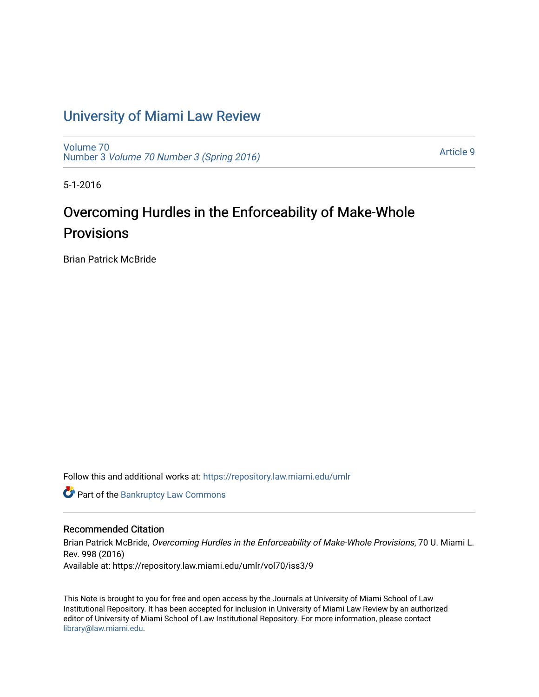# [University of Miami Law Review](https://repository.law.miami.edu/umlr)

[Volume 70](https://repository.law.miami.edu/umlr/vol70) Number 3 [Volume 70 Number 3 \(Spring 2016\)](https://repository.law.miami.edu/umlr/vol70/iss3)

[Article 9](https://repository.law.miami.edu/umlr/vol70/iss3/9) 

5-1-2016

# Overcoming Hurdles in the Enforceability of Make-Whole **Provisions**

Brian Patrick McBride

Follow this and additional works at: [https://repository.law.miami.edu/umlr](https://repository.law.miami.edu/umlr?utm_source=repository.law.miami.edu%2Fumlr%2Fvol70%2Fiss3%2F9&utm_medium=PDF&utm_campaign=PDFCoverPages)

**Part of the Bankruptcy Law Commons** 

## Recommended Citation

Brian Patrick McBride, Overcoming Hurdles in the Enforceability of Make-Whole Provisions, 70 U. Miami L. Rev. 998 (2016) Available at: https://repository.law.miami.edu/umlr/vol70/iss3/9

This Note is brought to you for free and open access by the Journals at University of Miami School of Law Institutional Repository. It has been accepted for inclusion in University of Miami Law Review by an authorized editor of University of Miami School of Law Institutional Repository. For more information, please contact [library@law.miami.edu.](mailto:library@law.miami.edu)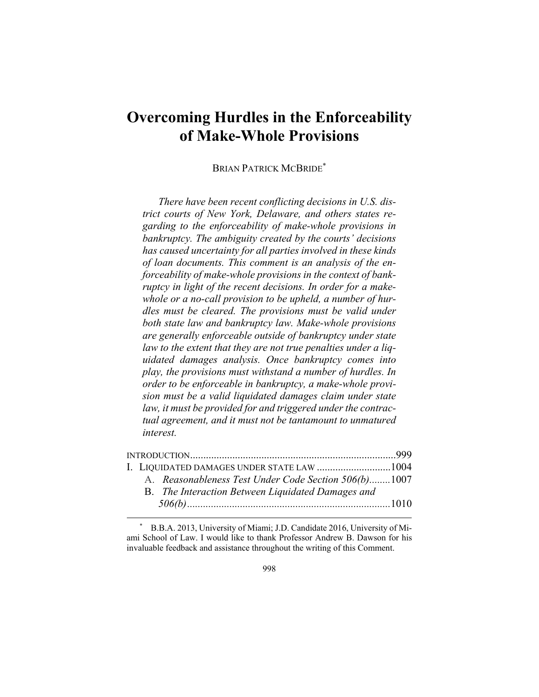# **Overcoming Hurdles in the Enforceability of Make-Whole Provisions**

BRIAN PATRICK MCBRIDE\*

*There have been recent conflicting decisions in U.S. district courts of New York, Delaware, and others states regarding to the enforceability of make-whole provisions in bankruptcy. The ambiguity created by the courts' decisions has caused uncertainty for all parties involved in these kinds of loan documents. This comment is an analysis of the enforceability of make-whole provisions in the context of bankruptcy in light of the recent decisions. In order for a makewhole or a no-call provision to be upheld, a number of hurdles must be cleared. The provisions must be valid under both state law and bankruptcy law. Make-whole provisions are generally enforceable outside of bankruptcy under state law to the extent that they are not true penalties under a liquidated damages analysis. Once bankruptcy comes into play, the provisions must withstand a number of hurdles. In order to be enforceable in bankruptcy, a make-whole provision must be a valid liquidated damages claim under state law, it must be provided for and triggered under the contractual agreement, and it must not be tantamount to unmatured interest.* 

|  | I. LIOUIDATED DAMAGES UNDER STATE LAW 1004           |  |
|--|------------------------------------------------------|--|
|  | A. Reasonableness Test Under Code Section 506(b)1007 |  |
|  | B. The Interaction Between Liquidated Damages and    |  |
|  |                                                      |  |

 \* B.B.A. 2013, University of Miami; J.D. Candidate 2016, University of Miami School of Law. I would like to thank Professor Andrew B. Dawson for his invaluable feedback and assistance throughout the writing of this Comment.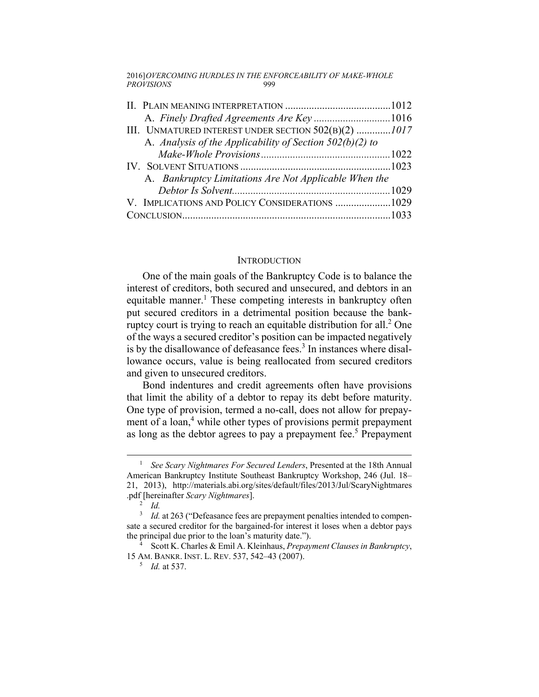2016] *OVERCOMING HURDLES IN THE ENFORCEABILITY OF MAKE-WHOLE*  PROVISIONS<sup>999</sup>

| III. UNMATURED INTEREST UNDER SECTION $502(B)(2)$ 1017     |  |
|------------------------------------------------------------|--|
| A. Analysis of the Applicability of Section $502(b)(2)$ to |  |
|                                                            |  |
|                                                            |  |
| A. Bankruptcy Limitations Are Not Applicable When the      |  |
|                                                            |  |
| V. IMPLICATIONS AND POLICY CONSIDERATIONS 1029             |  |
|                                                            |  |

## **INTRODUCTION**

One of the main goals of the Bankruptcy Code is to balance the interest of creditors, both secured and unsecured, and debtors in an equitable manner.<sup>1</sup> These competing interests in bankruptcy often put secured creditors in a detrimental position because the bankruptcy court is trying to reach an equitable distribution for all. $2$  One of the ways a secured creditor's position can be impacted negatively is by the disallowance of defeasance fees. $3$  In instances where disallowance occurs, value is being reallocated from secured creditors and given to unsecured creditors.

Bond indentures and credit agreements often have provisions that limit the ability of a debtor to repay its debt before maturity. One type of provision, termed a no-call, does not allow for prepayment of a loan,<sup>4</sup> while other types of provisions permit prepayment as long as the debtor agrees to pay a prepayment fee.<sup>5</sup> Prepayment

 $\frac{1}{1}$ <sup>1</sup> See Scary Nightmares For Secured Lenders, Presented at the 18th Annual American Bankruptcy Institute Southeast Bankruptcy Workshop, 246 (Jul. 18– 21, 2013), http://materials.abi.org/sites/default/files/2013/Jul/ScaryNightmares .pdf [hereinafter *Scary Nightmares*]. 2

 $\overline{a}$  *Id.* 

<sup>&</sup>lt;sup>3</sup> *Id.* at 263 ("Defeasance fees are prepayment penalties intended to compensate a secured creditor for the bargained-for interest it loses when a debtor pays the principal due prior to the loan's maturity date.").

Scott K. Charles & Emil A. Kleinhaus, *Prepayment Clauses in Bankruptcy*, 15 AM. BANKR. INST. L. REV. 537, 542-43 (2007).

*Id.* at 537.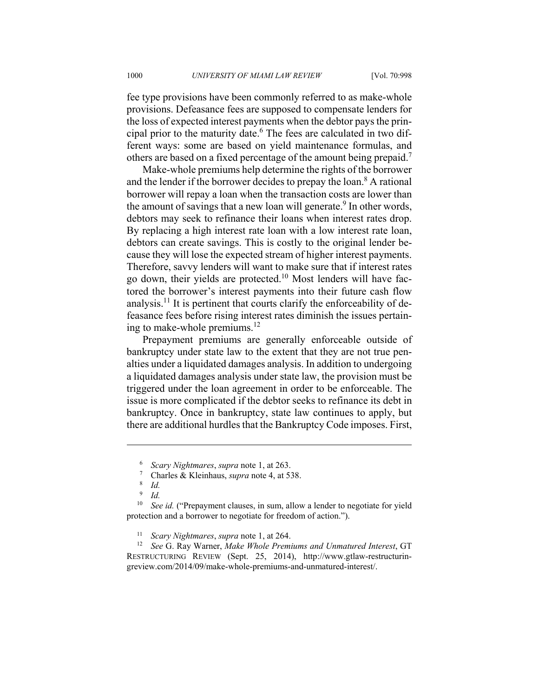fee type provisions have been commonly referred to as make-whole provisions. Defeasance fees are supposed to compensate lenders for the loss of expected interest payments when the debtor pays the principal prior to the maturity date.<sup>6</sup> The fees are calculated in two different ways: some are based on yield maintenance formulas, and others are based on a fixed percentage of the amount being prepaid.7

Make-whole premiums help determine the rights of the borrower and the lender if the borrower decides to prepay the loan.<sup>8</sup> A rational borrower will repay a loan when the transaction costs are lower than the amount of savings that a new loan will generate.<sup>9</sup> In other words, debtors may seek to refinance their loans when interest rates drop. By replacing a high interest rate loan with a low interest rate loan, debtors can create savings. This is costly to the original lender because they will lose the expected stream of higher interest payments. Therefore, savvy lenders will want to make sure that if interest rates go down, their yields are protected.10 Most lenders will have factored the borrower's interest payments into their future cash flow analysis.<sup>11</sup> It is pertinent that courts clarify the enforceability of defeasance fees before rising interest rates diminish the issues pertaining to make-whole premiums. $^{12}$ 

Prepayment premiums are generally enforceable outside of bankruptcy under state law to the extent that they are not true penalties under a liquidated damages analysis. In addition to undergoing a liquidated damages analysis under state law, the provision must be triggered under the loan agreement in order to be enforceable. The issue is more complicated if the debtor seeks to refinance its debt in bankruptcy. Once in bankruptcy, state law continues to apply, but there are additional hurdles that the Bankruptcy Code imposes. First,

<u>.</u>

<sup>&</sup>lt;sup>6</sup> Scary Nightmares, supra note 1, at 263.<br><sup>7</sup> Charles & Kleinhaus, *supra* note 4, at 53

<sup>&</sup>lt;sup>7</sup> Charles & Kleinhaus, *supra* note 4, at 538.

*Id.*

<sup>9</sup>  *Id.*

<sup>&</sup>lt;sup>10</sup> See id. ("Prepayment clauses, in sum, allow a lender to negotiate for yield protection and a borrower to negotiate for freedom of action.").

<sup>&</sup>lt;sup>11</sup> *Scary Nightmares, supra* note 1, at 264.<br><sup>12</sup> *See* G. Ray Warner, *Make Whole Premiums and Unmatured Interest*, GT RESTRUCTURING REVIEW (Sept. 25, 2014), http://www.gtlaw-restructuringreview.com/2014/09/make-whole-premiums-and-unmatured-interest/.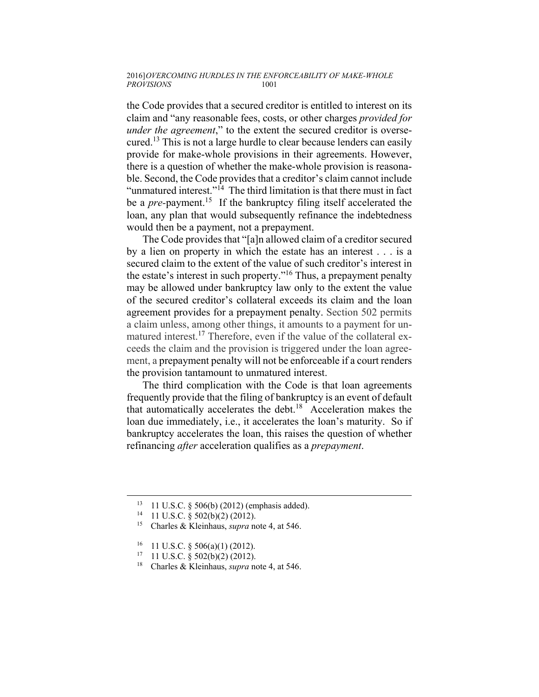#### 2016] *OVERCOMING HURDLES IN THE ENFORCEABILITY OF MAKE-WHOLE*   $PROVISIONS$

the Code provides that a secured creditor is entitled to interest on its claim and "any reasonable fees, costs, or other charges *provided for under the agreement*," to the extent the secured creditor is oversecured.13 This is not a large hurdle to clear because lenders can easily provide for make-whole provisions in their agreements. However, there is a question of whether the make-whole provision is reasonable. Second, the Code provides that a creditor's claim cannot include "unmatured interest."<sup>14</sup> The third limitation is that there must in fact be a *pre*-payment.<sup>15</sup> If the bankruptcy filing itself accelerated the loan, any plan that would subsequently refinance the indebtedness would then be a payment, not a prepayment.

The Code provides that "[a]n allowed claim of a creditor secured by a lien on property in which the estate has an interest . . . is a secured claim to the extent of the value of such creditor's interest in the estate's interest in such property."<sup>16</sup> Thus, a prepayment penalty may be allowed under bankruptcy law only to the extent the value of the secured creditor's collateral exceeds its claim and the loan agreement provides for a prepayment penalty. Section 502 permits a claim unless, among other things, it amounts to a payment for unmatured interest.<sup>17</sup> Therefore, even if the value of the collateral exceeds the claim and the provision is triggered under the loan agreement, a prepayment penalty will not be enforceable if a court renders the provision tantamount to unmatured interest.

The third complication with the Code is that loan agreements frequently provide that the filing of bankruptcy is an event of default that automatically accelerates the debt.18 Acceleration makes the loan due immediately, i.e., it accelerates the loan's maturity. So if bankruptcy accelerates the loan, this raises the question of whether refinancing *after* acceleration qualifies as a *prepayment*.

<sup>&</sup>lt;sup>13</sup> 11 U.S.C. § 506(b) (2012) (emphasis added).<br><sup>14</sup> 11 U.S.C. § 502(b)(2) (2012).

<sup>14 11</sup> U.S.C. § 502(b)(2) (2012). 15 Charles & Kleinhaus, *supra* note 4, at 546.

 $16$  11 U.S.C. § 506(a)(1) (2012).

 $17$  11 U.S.C. § 502(b)(2) (2012).

<sup>18</sup> Charles & Kleinhaus, *supra* note 4, at 546.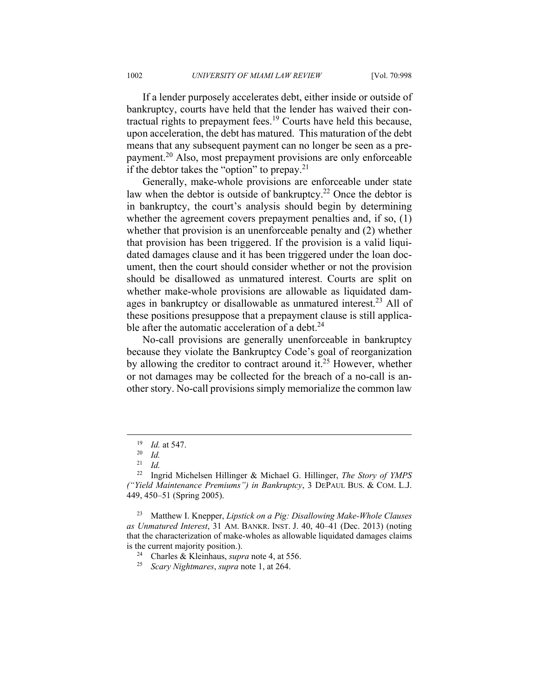If a lender purposely accelerates debt, either inside or outside of bankruptcy, courts have held that the lender has waived their contractual rights to prepayment fees.19 Courts have held this because, upon acceleration, the debt has matured. This maturation of the debt means that any subsequent payment can no longer be seen as a prepayment.20 Also, most prepayment provisions are only enforceable if the debtor takes the "option" to prepay.<sup>21</sup>

Generally, make-whole provisions are enforceable under state law when the debtor is outside of bankruptcy.<sup>22</sup> Once the debtor is in bankruptcy, the court's analysis should begin by determining whether the agreement covers prepayment penalties and, if so, (1) whether that provision is an unenforceable penalty and (2) whether that provision has been triggered. If the provision is a valid liquidated damages clause and it has been triggered under the loan document, then the court should consider whether or not the provision should be disallowed as unmatured interest. Courts are split on whether make-whole provisions are allowable as liquidated damages in bankruptcy or disallowable as unmatured interest.<sup>23</sup> All of these positions presuppose that a prepayment clause is still applicable after the automatic acceleration of a debt. $24$ 

No-call provisions are generally unenforceable in bankruptcy because they violate the Bankruptcy Code's goal of reorganization by allowing the creditor to contract around it.<sup>25</sup> However, whether or not damages may be collected for the breach of a no-call is another story. No-call provisions simply memorialize the common law

<sup>19</sup> *Id.* at 547. 20 *Id.*

 $rac{21}{22}$  *Id.* 

<sup>22</sup> Ingrid Michelsen Hillinger & Michael G. Hillinger, *The Story of YMPS ("Yield Maintenance Premiums") in Bankruptcy*, 3 DEPAUL BUS. & COM. L.J. 449, 450–51 (Spring 2005).

<sup>23</sup> Matthew I. Knepper, *Lipstick on a Pig: Disallowing Make-Whole Clauses as Unmatured Interest*, 31 AM. BANKR. INST. J. 40, 40–41 (Dec. 2013) (noting that the characterization of make-wholes as allowable liquidated damages claims is the current majority position.). 24 Charles & Kleinhaus, *supra* note 4, at 556. 25 *Scary Nightmares*, *supra* note 1, at 264.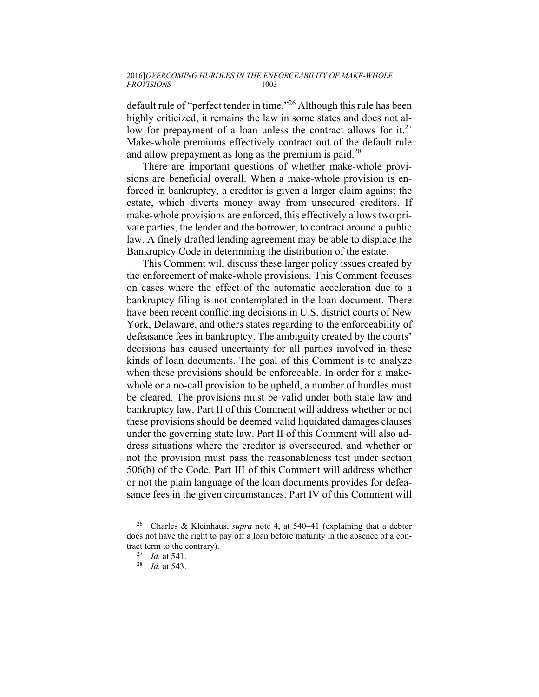default rule of "perfect tender in time."26 Although this rule has been highly criticized, it remains the law in some states and does not allow for prepayment of a loan unless the contract allows for it.<sup>27</sup> Make-whole premiums effectively contract out of the default rule and allow prepayment as long as the premium is paid.<sup>28</sup>

There are important questions of whether make-whole provisions are beneficial overall. When a make-whole provision is enforced in bankruptcy, a creditor is given a larger claim against the estate, which diverts money away from unsecured creditors. If make-whole provisions are enforced, this effectively allows two private parties, the lender and the borrower, to contract around a public law. A finely drafted lending agreement may be able to displace the Bankruptcy Code in determining the distribution of the estate.

This Comment will discuss these larger policy issues created by the enforcement of make-whole provisions. This Comment focuses on cases where the effect of the automatic acceleration due to a bankruptcy filing is not contemplated in the loan document. There have been recent conflicting decisions in U.S. district courts of New York, Delaware, and others states regarding to the enforceability of defeasance fees in bankruptcy. The ambiguity created by the courts' decisions has caused uncertainty for all parties involved in these kinds of loan documents. The goal of this Comment is to analyze when these provisions should be enforceable. In order for a makewhole or a no-call provision to be upheld, a number of hurdles must be cleared. The provisions must be valid under both state law and bankruptcy law. Part II of this Comment will address whether or not these provisions should be deemed valid liquidated damages clauses under the governing state law. Part II of this Comment will also address situations where the creditor is oversecured, and whether or not the provision must pass the reasonableness test under section 506(b) of the Code. Part III of this Comment will address whether or not the plain language of the loan documents provides for defeasance fees in the given circumstances. Part IV of this Comment will

 <sup>26</sup> Charles & Kleinhaus, *supra* note 4, at 540–41 (explaining that a debtor does not have the right to pay off a loan before maturity in the absence of a contract term to the contrary). 27 *Id.* at 541. 28 *Id.* at 543.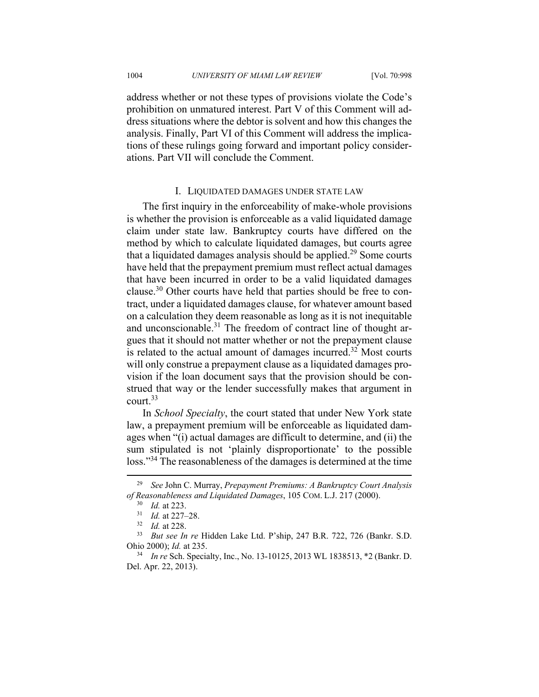address whether or not these types of provisions violate the Code's prohibition on unmatured interest. Part V of this Comment will address situations where the debtor is solvent and how this changes the analysis. Finally, Part VI of this Comment will address the implications of these rulings going forward and important policy considerations. Part VII will conclude the Comment.

## I. LIQUIDATED DAMAGES UNDER STATE LAW

The first inquiry in the enforceability of make-whole provisions is whether the provision is enforceable as a valid liquidated damage claim under state law. Bankruptcy courts have differed on the method by which to calculate liquidated damages, but courts agree that a liquidated damages analysis should be applied.<sup>29</sup> Some courts have held that the prepayment premium must reflect actual damages that have been incurred in order to be a valid liquidated damages clause.30 Other courts have held that parties should be free to contract, under a liquidated damages clause, for whatever amount based on a calculation they deem reasonable as long as it is not inequitable and unconscionable.<sup>31</sup> The freedom of contract line of thought argues that it should not matter whether or not the prepayment clause is related to the actual amount of damages incurred. $32$  Most courts will only construe a prepayment clause as a liquidated damages provision if the loan document says that the provision should be construed that way or the lender successfully makes that argument in court.33

In *School Specialty*, the court stated that under New York state law, a prepayment premium will be enforceable as liquidated damages when "(i) actual damages are difficult to determine, and (ii) the sum stipulated is not 'plainly disproportionate' to the possible loss."<sup>34</sup> The reasonableness of the damages is determined at the time

 <sup>29</sup> *See* John C. Murray, *Prepayment Premiums: A Bankruptcy Court Analysis of Reasonableness and Liquidated Damages*, 105 COM. L.J. 217 (2000).<br><sup>30</sup> *Id.* at 223.<br><sup>31</sup> *Id.* at 228.<br><sup>32</sup> *Id.* at 228.<br><sup>33</sup> *But see In re* Hidden Lake Ltd. P'ship, 247 B.R. 722, 726 (Bankr. S.D.

Ohio 2000); *Id.* at 235. 34 *In re* Sch. Specialty, Inc., No. 13-10125, 2013 WL 1838513, \*2 (Bankr. D.

Del. Apr. 22, 2013).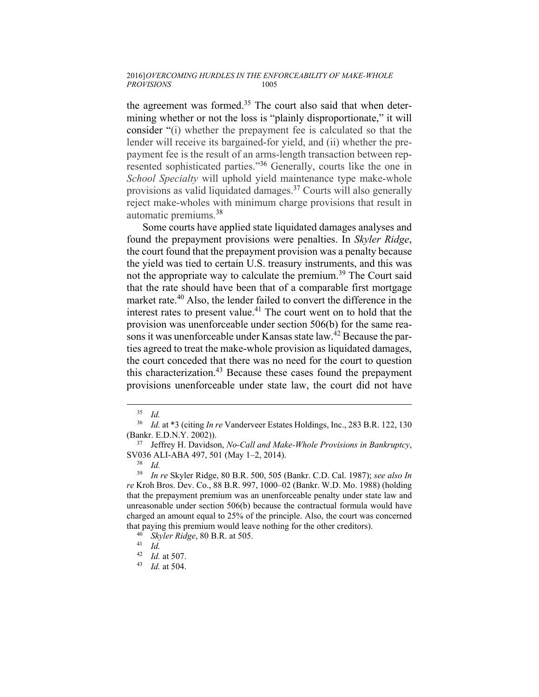#### 2016] *OVERCOMING HURDLES IN THE ENFORCEABILITY OF MAKE-WHOLE PROVISIONS* 1005

the agreement was formed.<sup>35</sup> The court also said that when determining whether or not the loss is "plainly disproportionate," it will consider "(i) whether the prepayment fee is calculated so that the lender will receive its bargained-for yield, and (ii) whether the prepayment fee is the result of an arms-length transaction between represented sophisticated parties."36 Generally, courts like the one in *School Specialty* will uphold yield maintenance type make-whole provisions as valid liquidated damages.37 Courts will also generally reject make-wholes with minimum charge provisions that result in automatic premiums.<sup>38</sup>

Some courts have applied state liquidated damages analyses and found the prepayment provisions were penalties. In *Skyler Ridge*, the court found that the prepayment provision was a penalty because the yield was tied to certain U.S. treasury instruments, and this was not the appropriate way to calculate the premium.<sup>39</sup> The Court said that the rate should have been that of a comparable first mortgage market rate.<sup>40</sup> Also, the lender failed to convert the difference in the interest rates to present value.<sup>41</sup> The court went on to hold that the provision was unenforceable under section 506(b) for the same reasons it was unenforceable under Kansas state law.<sup>42</sup> Because the parties agreed to treat the make-whole provision as liquidated damages, the court conceded that there was no need for the court to question this characterization.<sup>43</sup> Because these cases found the prepayment provisions unenforceable under state law, the court did not have

 <sup>35</sup> *Id.*

<sup>36</sup> *Id.* at \*3 (citing *In re* Vanderveer Estates Holdings, Inc., 283 B.R. 122, 130 (Bankr. E.D.N.Y. 2002)). 37 Jeffrey H. Davidson, *No-Call and Make-Whole Provisions in Bankruptcy*,

SV036 ALI-ABA 497, 501 (May 1–2, 2014). 38 *Id.*

<sup>39</sup> *In re* Skyler Ridge, 80 B.R. 500, 505 (Bankr. C.D. Cal. 1987); *see also In re* Kroh Bros. Dev. Co., 88 B.R. 997, 1000–02 (Bankr. W.D. Mo. 1988) (holding that the prepayment premium was an unenforceable penalty under state law and unreasonable under section 506(b) because the contractual formula would have charged an amount equal to 25% of the principle. Also, the court was concerned that paying this premium would leave nothing for the other creditors).<br><sup>40</sup> *Skyler Ridge*, 80 B.R. at 505.<br><sup>41</sup> *Id.*<br><sup>42</sup> *Id.* at 507.

<sup>42</sup> *Id.* at 507. 43 *Id.* at 504.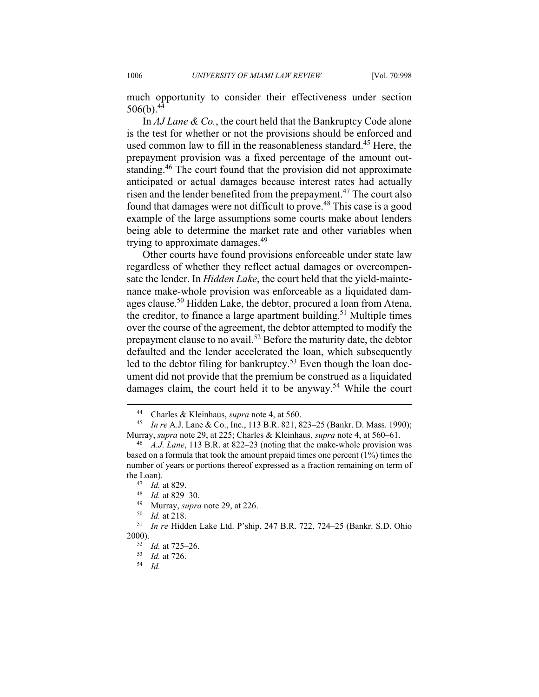much opportunity to consider their effectiveness under section 506(b).  $44$ 

In *AJ Lane & Co.*, the court held that the Bankruptcy Code alone is the test for whether or not the provisions should be enforced and used common law to fill in the reasonableness standard.<sup>45</sup> Here, the prepayment provision was a fixed percentage of the amount outstanding.46 The court found that the provision did not approximate anticipated or actual damages because interest rates had actually risen and the lender benefited from the prepayment.<sup>47</sup> The court also found that damages were not difficult to prove.<sup>48</sup> This case is a good example of the large assumptions some courts make about lenders being able to determine the market rate and other variables when trying to approximate damages.<sup>49</sup>

Other courts have found provisions enforceable under state law regardless of whether they reflect actual damages or overcompensate the lender. In *Hidden Lake*, the court held that the yield-maintenance make-whole provision was enforceable as a liquidated damages clause.<sup>50</sup> Hidden Lake, the debtor, procured a loan from Atena, the creditor, to finance a large apartment building.<sup>51</sup> Multiple times over the course of the agreement, the debtor attempted to modify the prepayment clause to no avail.52 Before the maturity date, the debtor defaulted and the lender accelerated the loan, which subsequently led to the debtor filing for bankruptcy.<sup>53</sup> Even though the loan document did not provide that the premium be construed as a liquidated damages claim, the court held it to be anyway.<sup>54</sup> While the court

 <sup>44</sup> Charles & Kleinhaus, *supra* note 4, at 560. 45 *In re* A.J. Lane & Co., Inc., 113 B.R. 821, 823–25 (Bankr. D. Mass. 1990); Murray, *supra* note 29, at 225; Charles & Kleinhaus, *supra* note 4, at 560–61. 46 *A.J. Lane*, 113 B.R. at 822–23 (noting that the make-whole provision was

based on a formula that took the amount prepaid times one percent (1%) times the number of years or portions thereof expressed as a fraction remaining on term of the Loan).<br>
<sup>47</sup> *Id.* at 829–30.<br>
<sup>49</sup> Murray, *supra* note 29, at 226.<br>
<sup>50</sup> *Id.* at 218.<br>
<sup>51</sup> *In re* Hidden Lake Ltd. P'ship, 247 B.R. 722, 724–25 (Bankr. S.D. Ohio

<sup>2000). 52</sup> *Id.* at 725–26. 53 *Id.* at 726. 54 *Id.*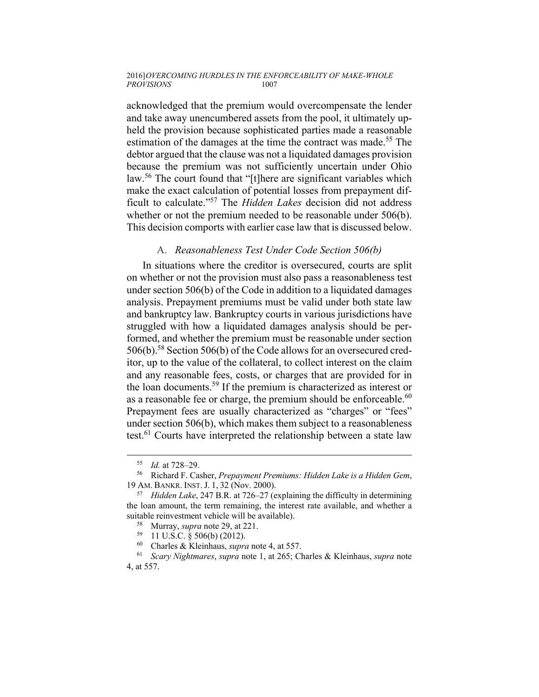#### 2016] *OVERCOMING HURDLES IN THE ENFORCEABILITY OF MAKE-WHOLE PROVISIONS* 1007

acknowledged that the premium would overcompensate the lender and take away unencumbered assets from the pool, it ultimately upheld the provision because sophisticated parties made a reasonable estimation of the damages at the time the contract was made.<sup>55</sup> The debtor argued that the clause was not a liquidated damages provision because the premium was not sufficiently uncertain under Ohio law.<sup>56</sup> The court found that "[t]here are significant variables which make the exact calculation of potential losses from prepayment difficult to calculate."57 The *Hidden Lakes* decision did not address whether or not the premium needed to be reasonable under 506(b). This decision comports with earlier case law that is discussed below.

## A. *Reasonableness Test Under Code Section 506(b)*

In situations where the creditor is oversecured, courts are split on whether or not the provision must also pass a reasonableness test under section 506(b) of the Code in addition to a liquidated damages analysis. Prepayment premiums must be valid under both state law and bankruptcy law. Bankruptcy courts in various jurisdictions have struggled with how a liquidated damages analysis should be performed, and whether the premium must be reasonable under section 506(b).58 Section 506(b) of the Code allows for an oversecured creditor, up to the value of the collateral, to collect interest on the claim and any reasonable fees, costs, or charges that are provided for in the loan documents.59 If the premium is characterized as interest or as a reasonable fee or charge, the premium should be enforceable.<sup>60</sup> Prepayment fees are usually characterized as "charges" or "fees" under section 506(b), which makes them subject to a reasonableness test.<sup>61</sup> Courts have interpreted the relationship between a state law

<sup>55</sup> *Id.* at 728–29. 56 Richard F. Casher, *Prepayment Premiums: Hidden Lake is a Hidden Gem*, 19 AM. BANKR. INST. J. 1, 32 (Nov. 2000). 57 *Hidden Lake*, 247 B.R. at 726–27 (explaining the difficulty in determining

the loan amount, the term remaining, the interest rate available, and whether a suitable reinvestment vehicle will be available).<br><sup>58</sup> Murray, *supra* note 29, at 221.<br><sup>59</sup> 11 U.S.C. § 506(b) (2012).<br><sup>60</sup> Charles & *K* leinbaus, *supra* note 4, at 55°

<sup>60</sup> Charles & Kleinhaus, *supra* note 4, at 557. 61 *Scary Nightmares*, *supra* note 1, at 265; Charles & Kleinhaus, *supra* note 4, at 557.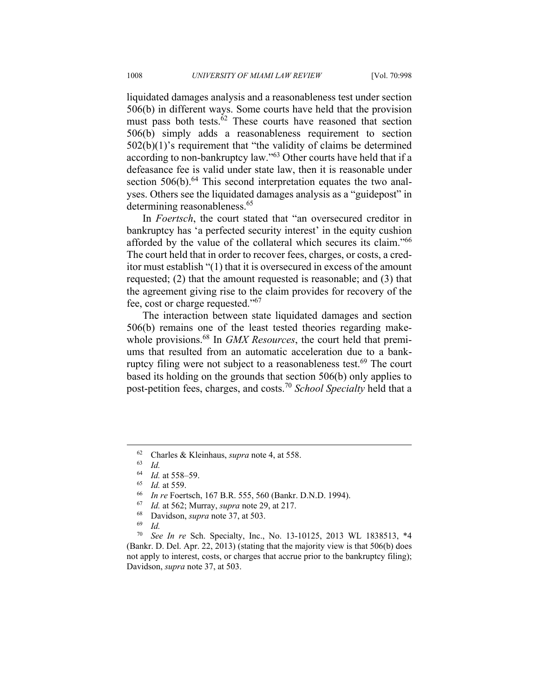liquidated damages analysis and a reasonableness test under section 506(b) in different ways. Some courts have held that the provision must pass both tests. $62$  These courts have reasoned that section 506(b) simply adds a reasonableness requirement to section  $502(b)(1)$ 's requirement that "the validity of claims be determined according to non-bankruptcy law."63 Other courts have held that if a defeasance fee is valid under state law, then it is reasonable under section  $506(b)$ .<sup>64</sup> This second interpretation equates the two analyses. Others see the liquidated damages analysis as a "guidepost" in determining reasonableness.<sup>65</sup>

In *Foertsch*, the court stated that "an oversecured creditor in bankruptcy has 'a perfected security interest' in the equity cushion afforded by the value of the collateral which secures its claim."66 The court held that in order to recover fees, charges, or costs, a creditor must establish "(1) that it is oversecured in excess of the amount requested; (2) that the amount requested is reasonable; and (3) that the agreement giving rise to the claim provides for recovery of the fee, cost or charge requested."67

The interaction between state liquidated damages and section 506(b) remains one of the least tested theories regarding makewhole provisions.<sup>68</sup> In *GMX Resources*, the court held that premiums that resulted from an automatic acceleration due to a bankruptcy filing were not subject to a reasonableness test.<sup>69</sup> The court based its holding on the grounds that section 506(b) only applies to post-petition fees, charges, and costs.70 *School Specialty* held that a

- <sup>64</sup> *Id.* at 558–59.<br>
<sup>65</sup> *Id.* at 559.<br>
<sup>66</sup> *In re* Foertsch, 167 B.R. 555, 560 (Bankr. D.N.D. 1994).<br>
<sup>67</sup> *Id.* at 562; Murray, *supra* note 29, at 217.<br>
<sup>68</sup> Davidson, *supra* note 37, at 503.<br>
<sup>69</sup> *Id.*
- 
- 
- 

<sup>70</sup> *See In re* Sch. Specialty, Inc., No. 13-10125, 2013 WL 1838513, \*4 (Bankr. D. Del. Apr. 22, 2013) (stating that the majority view is that 506(b) does not apply to interest, costs, or charges that accrue prior to the bankruptcy filing); Davidson, *supra* note 37, at 503.

<sup>62</sup> Charles & Kleinhaus, *supra* note 4, at 558.<br>
64 *Id.* at 558–59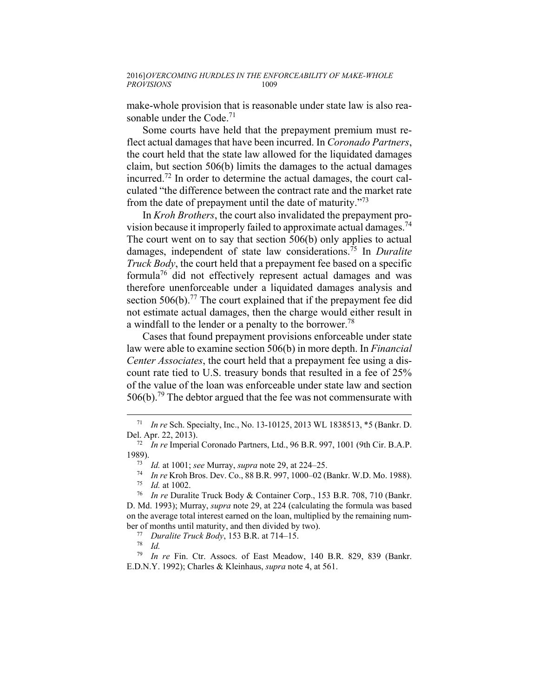make-whole provision that is reasonable under state law is also reasonable under the Code. $71$ 

Some courts have held that the prepayment premium must reflect actual damages that have been incurred. In *Coronado Partners*, the court held that the state law allowed for the liquidated damages claim, but section 506(b) limits the damages to the actual damages incurred.72 In order to determine the actual damages, the court calculated "the difference between the contract rate and the market rate from the date of prepayment until the date of maturity."73

In *Kroh Brothers*, the court also invalidated the prepayment provision because it improperly failed to approximate actual damages.<sup>74</sup> The court went on to say that section 506(b) only applies to actual damages, independent of state law considerations.75 In *Duralite Truck Body*, the court held that a prepayment fee based on a specific formula<sup>76</sup> did not effectively represent actual damages and was therefore unenforceable under a liquidated damages analysis and section 506(b).<sup>77</sup> The court explained that if the prepayment fee did not estimate actual damages, then the charge would either result in a windfall to the lender or a penalty to the borrower.<sup>78</sup>

Cases that found prepayment provisions enforceable under state law were able to examine section 506(b) in more depth. In *Financial Center Associates*, the court held that a prepayment fee using a discount rate tied to U.S. treasury bonds that resulted in a fee of 25% of the value of the loan was enforceable under state law and section  $506(b)$ <sup>79</sup>. The debtor argued that the fee was not commensurate with

 <sup>71</sup> *In re* Sch. Specialty, Inc., No. 13-10125, 2013 WL 1838513, \*5 (Bankr. D. Del. Apr. 22, 2013). 72 *In re* Imperial Coronado Partners, Ltd., 96 B.R. 997, 1001 (9th Cir. B.A.P.

<sup>1989).&</sup>lt;br>
<sup>73</sup> *Id.* at 1001; see Murray, *supra* note 29, at 224–25.<br>
<sup>74</sup> *In re* Kroh Bros. Dev. Co., 88 B.R. 997, 1000–02 (Bankr. W.D. Mo. 1988).<br>
<sup>75</sup> *Id.* at 1002.<br>
<sup>76</sup> *In re* Duralite Truck Body & Container Corp.,

D. Md. 1993); Murray, *supra* note 29, at 224 (calculating the formula was based on the average total interest earned on the loan, multiplied by the remaining number of months until maturity, and then divided by two). 77 *Duralite Truck Body*, 153 B.R. at 714–15. 78 *Id.*

<sup>79</sup> *In re* Fin. Ctr. Assocs. of East Meadow, 140 B.R. 829, 839 (Bankr. E.D.N.Y. 1992); Charles & Kleinhaus, *supra* note 4, at 561.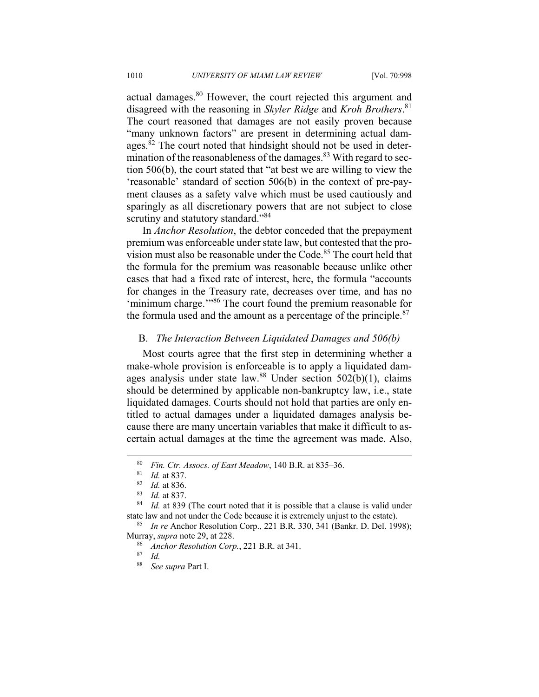actual damages.<sup>80</sup> However, the court rejected this argument and disagreed with the reasoning in *Skyler Ridge* and *Kroh Brothers*. 81 The court reasoned that damages are not easily proven because "many unknown factors" are present in determining actual damages.<sup>82</sup> The court noted that hindsight should not be used in determination of the reasonableness of the damages. $83$  With regard to section 506(b), the court stated that "at best we are willing to view the 'reasonable' standard of section 506(b) in the context of pre-payment clauses as a safety valve which must be used cautiously and sparingly as all discretionary powers that are not subject to close scrutiny and statutory standard."<sup>84</sup>

In *Anchor Resolution*, the debtor conceded that the prepayment premium was enforceable under state law, but contested that the provision must also be reasonable under the Code.<sup>85</sup> The court held that the formula for the premium was reasonable because unlike other cases that had a fixed rate of interest, here, the formula "accounts for changes in the Treasury rate, decreases over time, and has no 'minimum charge.'"86 The court found the premium reasonable for the formula used and the amount as a percentage of the principle. $87$ 

## B. *The Interaction Between Liquidated Damages and 506(b)*

Most courts agree that the first step in determining whether a make-whole provision is enforceable is to apply a liquidated damages analysis under state law.<sup>88</sup> Under section  $502(b)(1)$ , claims should be determined by applicable non-bankruptcy law, i.e., state liquidated damages. Courts should not hold that parties are only entitled to actual damages under a liquidated damages analysis because there are many uncertain variables that make it difficult to ascertain actual damages at the time the agreement was made. Also,

<sup>80</sup> *Fin. Ctr. Assocs. of East Meadow*, 140 B.R. at 835–36.<br><sup>81</sup> *Id.* at 837.<br><sup>82</sup> *Id.* at 837.<br><sup>84</sup> *Id.* at 839 (The court noted that it is possible that a clause is valid under state law and not under the Code because it is extremely unjust to the estate). 85 *In re* Anchor Resolution Corp., 221 B.R. 330, 341 (Bankr. D. Del. 1998);

Murray, *supra* note 29, at 228.<br><sup>86</sup> Anchor Resolution Corp., 221 B.R. at 341.<br><sup>87</sup> Id.

<sup>88</sup> *See supra* Part I.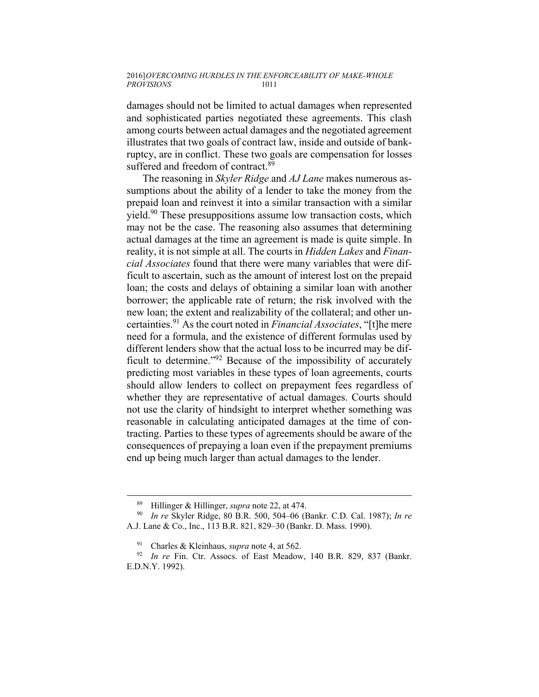damages should not be limited to actual damages when represented and sophisticated parties negotiated these agreements. This clash among courts between actual damages and the negotiated agreement illustrates that two goals of contract law, inside and outside of bankruptcy, are in conflict. These two goals are compensation for losses suffered and freedom of contract.<sup>89</sup>

The reasoning in *Skyler Ridge* and *AJ Lane* makes numerous assumptions about the ability of a lender to take the money from the prepaid loan and reinvest it into a similar transaction with a similar yield.90 These presuppositions assume low transaction costs, which may not be the case. The reasoning also assumes that determining actual damages at the time an agreement is made is quite simple. In reality, it is not simple at all. The courts in *Hidden Lakes* and *Financial Associates* found that there were many variables that were difficult to ascertain, such as the amount of interest lost on the prepaid loan; the costs and delays of obtaining a similar loan with another borrower; the applicable rate of return; the risk involved with the new loan; the extent and realizability of the collateral; and other uncertainties.91 As the court noted in *Financial Associates*, "[t]he mere need for a formula, and the existence of different formulas used by different lenders show that the actual loss to be incurred may be difficult to determine."92 Because of the impossibility of accurately predicting most variables in these types of loan agreements, courts should allow lenders to collect on prepayment fees regardless of whether they are representative of actual damages. Courts should not use the clarity of hindsight to interpret whether something was reasonable in calculating anticipated damages at the time of contracting. Parties to these types of agreements should be aware of the consequences of prepaying a loan even if the prepayment premiums end up being much larger than actual damages to the lender.

 <sup>89</sup> Hillinger & Hillinger, *supra* note 22, at 474. 90 *In re* Skyler Ridge, 80 B.R. 500, 504–06 (Bankr. C.D. Cal. 1987); *In re*  A.J. Lane & Co., Inc., 113 B.R. 821, 829–30 (Bankr. D. Mass. 1990).

<sup>&</sup>lt;sup>91</sup> Charles & Kleinhaus, *supra* note 4, at 562.<br><sup>92</sup> In re Fin. Ctr. Assocs. of East Meadow, 140 B.R. 829, 837 (Bankr. E.D.N.Y. 1992).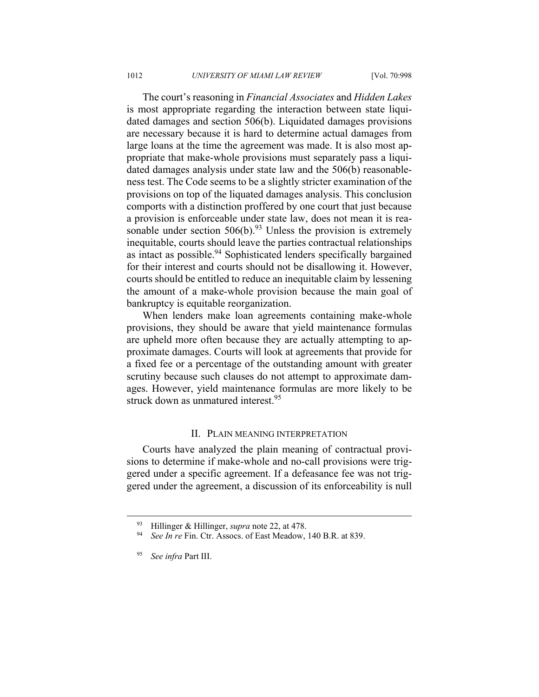The court's reasoning in *Financial Associates* and *Hidden Lakes* is most appropriate regarding the interaction between state liquidated damages and section 506(b). Liquidated damages provisions are necessary because it is hard to determine actual damages from large loans at the time the agreement was made. It is also most appropriate that make-whole provisions must separately pass a liquidated damages analysis under state law and the 506(b) reasonableness test. The Code seems to be a slightly stricter examination of the provisions on top of the liquated damages analysis. This conclusion comports with a distinction proffered by one court that just because a provision is enforceable under state law, does not mean it is reasonable under section  $506(b)$ .<sup>93</sup> Unless the provision is extremely inequitable, courts should leave the parties contractual relationships as intact as possible.<sup>94</sup> Sophisticated lenders specifically bargained for their interest and courts should not be disallowing it. However, courts should be entitled to reduce an inequitable claim by lessening the amount of a make-whole provision because the main goal of bankruptcy is equitable reorganization.

When lenders make loan agreements containing make-whole provisions, they should be aware that yield maintenance formulas are upheld more often because they are actually attempting to approximate damages. Courts will look at agreements that provide for a fixed fee or a percentage of the outstanding amount with greater scrutiny because such clauses do not attempt to approximate damages. However, yield maintenance formulas are more likely to be struck down as unmatured interest.<sup>95</sup>

### II. PLAIN MEANING INTERPRETATION

Courts have analyzed the plain meaning of contractual provisions to determine if make-whole and no-call provisions were triggered under a specific agreement. If a defeasance fee was not triggered under the agreement, a discussion of its enforceability is null

 <sup>93</sup> Hillinger & Hillinger, *supra* note 22, at 478. 94 *See In re* Fin. Ctr. Assocs. of East Meadow, 140 B.R. at 839.

<sup>95</sup> *See infra* Part III.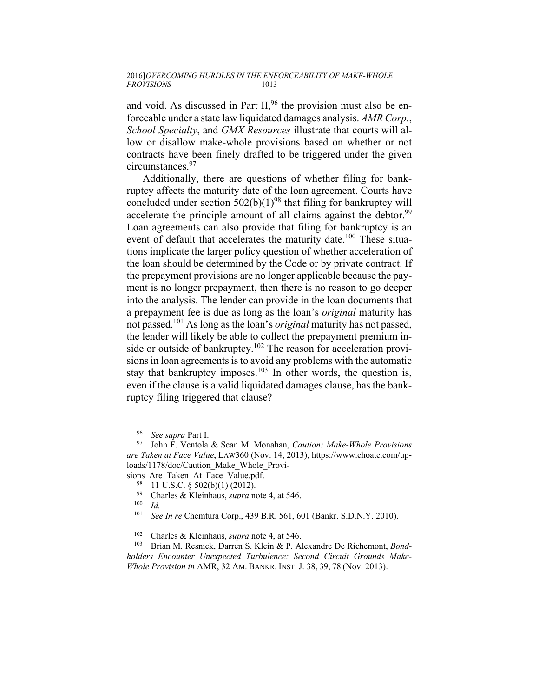and void. As discussed in Part  $II<sub>1</sub><sup>96</sup>$  the provision must also be enforceable under a state law liquidated damages analysis. *AMR Corp.*, *School Specialty*, and *GMX Resources* illustrate that courts will allow or disallow make-whole provisions based on whether or not contracts have been finely drafted to be triggered under the given circumstances.97

Additionally, there are questions of whether filing for bankruptcy affects the maturity date of the loan agreement. Courts have concluded under section  $502(b)(1)^{98}$  that filing for bankruptcy will accelerate the principle amount of all claims against the debtor.<sup>99</sup> Loan agreements can also provide that filing for bankruptcy is an event of default that accelerates the maturity date.<sup>100</sup> These situations implicate the larger policy question of whether acceleration of the loan should be determined by the Code or by private contract. If the prepayment provisions are no longer applicable because the payment is no longer prepayment, then there is no reason to go deeper into the analysis. The lender can provide in the loan documents that a prepayment fee is due as long as the loan's *original* maturity has not passed.101 As long as the loan's *original* maturity has not passed, the lender will likely be able to collect the prepayment premium inside or outside of bankruptcy.<sup>102</sup> The reason for acceleration provisions in loan agreements is to avoid any problems with the automatic stay that bankruptcy imposes. $103$  In other words, the question is, even if the clause is a valid liquidated damages clause, has the bankruptcy filing triggered that clause?

<sup>96</sup> *See supra* Part I. 97 John F. Ventola & Sean M. Monahan, *Caution: Make-Whole Provisions are Taken at Face Value*, LAW360 (Nov. 14, 2013), https://www.choate.com/uploads/1178/doc/Caution\_Make\_Whole\_Provi-

sions\_Are\_Taken\_At\_Face\_Value.pdf.<br>
<sup>98</sup> 11 U.S.C. § 502(b)(1) (2012).<br>
<sup>99</sup> Charles & Kleinhaus, sunga pote

<sup>99</sup> Charles & Kleinhaus, *supra* note 4, at 546. 100 *Id.*

See In re Chemtura Corp., 439 B.R. 561, 601 (Bankr. S.D.N.Y. 2010).

<sup>&</sup>lt;sup>102</sup> Charles & Kleinhaus, *supra* note 4, at 546.<br><sup>103</sup> Brian M. Resnick, Darren S. Klein & P. Alexandre De Richemont, *Bondholders Encounter Unexpected Turbulence: Second Circuit Grounds Make-Whole Provision in* AMR, 32 AM. BANKR. INST. J. 38, 39, 78 (Nov. 2013).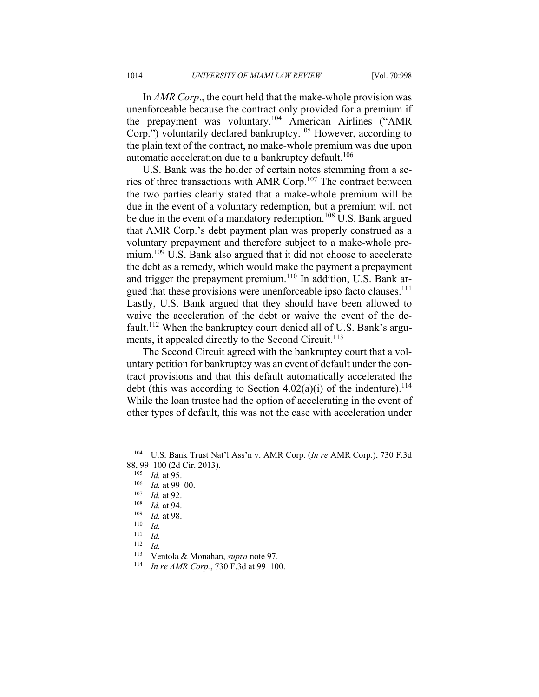In *AMR Corp*., the court held that the make-whole provision was unenforceable because the contract only provided for a premium if the prepayment was voluntary.104 American Airlines ("AMR Corp.") voluntarily declared bankruptcy.<sup>105</sup> However, according to the plain text of the contract, no make-whole premium was due upon automatic acceleration due to a bankruptcy default.<sup>106</sup>

U.S. Bank was the holder of certain notes stemming from a series of three transactions with AMR Corp.107 The contract between the two parties clearly stated that a make-whole premium will be due in the event of a voluntary redemption, but a premium will not be due in the event of a mandatory redemption.<sup>108</sup> U.S. Bank argued that AMR Corp.'s debt payment plan was properly construed as a voluntary prepayment and therefore subject to a make-whole premium.<sup>109</sup> U.S. Bank also argued that it did not choose to accelerate the debt as a remedy, which would make the payment a prepayment and trigger the prepayment premium.<sup>110</sup> In addition, U.S. Bank argued that these provisions were unenforceable ipso facto clauses.<sup>111</sup> Lastly, U.S. Bank argued that they should have been allowed to waive the acceleration of the debt or waive the event of the default.<sup>112</sup> When the bankruptcy court denied all of U.S. Bank's arguments, it appealed directly to the Second Circuit.<sup>113</sup>

The Second Circuit agreed with the bankruptcy court that a voluntary petition for bankruptcy was an event of default under the contract provisions and that this default automatically accelerated the debt (this was according to Section  $4.02(a)(i)$  of the indenture).<sup>114</sup> While the loan trustee had the option of accelerating in the event of other types of default, this was not the case with acceleration under

<sup>104</sup> U.S. Bank Trust Nat'l Ass'n v. AMR Corp. (*In re* AMR Corp.), 730 F.3d 88, 99–100 (2d Cir. 2013).<br><sup>105</sup> *Id.* at 95.<br><sup>107</sup> *Id.* at 99–00.<br><sup>107</sup> *Id.* at 92.<br><sup>108</sup> *Id.* at 98.<br><sup>109</sup> *Id.* at 98.<br><sup>110</sup> *Id.* 

 $\frac{111}{112}$  *Id.* <sup>112</sup> *Id.*

<sup>113</sup> Ventola & Monahan, *supra* note 97. 114 *In re AMR Corp.*, 730 F.3d at 99–100.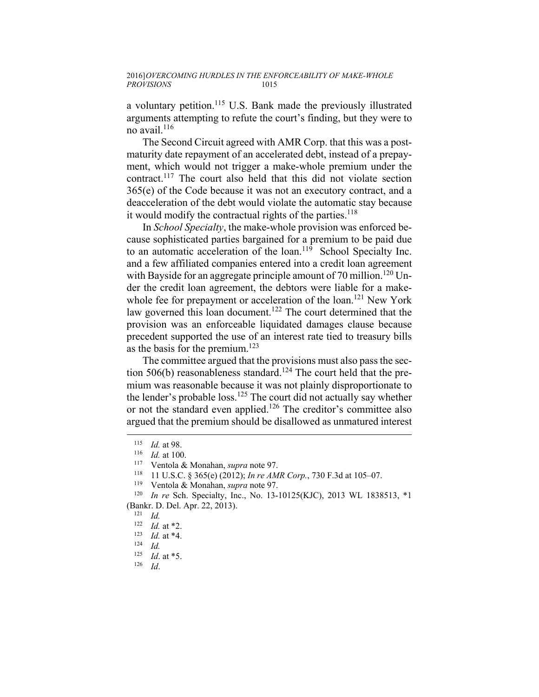a voluntary petition.115 U.S. Bank made the previously illustrated arguments attempting to refute the court's finding, but they were to no avail.<sup>116</sup>

The Second Circuit agreed with AMR Corp. that this was a postmaturity date repayment of an accelerated debt, instead of a prepayment, which would not trigger a make-whole premium under the contract.117 The court also held that this did not violate section 365(e) of the Code because it was not an executory contract, and a deacceleration of the debt would violate the automatic stay because it would modify the contractual rights of the parties.<sup>118</sup>

In *School Specialty*, the make-whole provision was enforced because sophisticated parties bargained for a premium to be paid due to an automatic acceleration of the loan.<sup>119</sup> School Specialty Inc. and a few affiliated companies entered into a credit loan agreement with Bayside for an aggregate principle amount of 70 million.<sup>120</sup> Under the credit loan agreement, the debtors were liable for a makewhole fee for prepayment or acceleration of the loan.<sup>121</sup> New York law governed this loan document.<sup>122</sup> The court determined that the provision was an enforceable liquidated damages clause because precedent supported the use of an interest rate tied to treasury bills as the basis for the premium.<sup>123</sup>

The committee argued that the provisions must also pass the section 506(b) reasonableness standard.<sup>124</sup> The court held that the premium was reasonable because it was not plainly disproportionate to the lender's probable loss.<sup>125</sup> The court did not actually say whether or not the standard even applied.126 The creditor's committee also argued that the premium should be disallowed as unmatured interest

1

<sup>&</sup>lt;sup>115</sup> *Id.* at 98.<br>
<sup>116</sup> *Id.* at 100.<br>
<sup>117</sup> Ventola & Monahan, *supra* note 97.<br>
<sup>118</sup> 11 U.S.C. § 365(e) (2012); *In re AMR Corp.*, 730 F.3d at 105–07.<br>
<sup>119</sup> Ventola & Monahan, *supra* note 97.<br>
<sup>120</sup> *In re Sch. Spe* (Bankr. D. Del. Apr. 22, 2013). 121 *Id.*

<sup>122</sup> *Id.* at \*2. 123 *Id.* at \*4. 124 *Id.*

<sup>125</sup> *Id*. at \*5. 126 *Id*.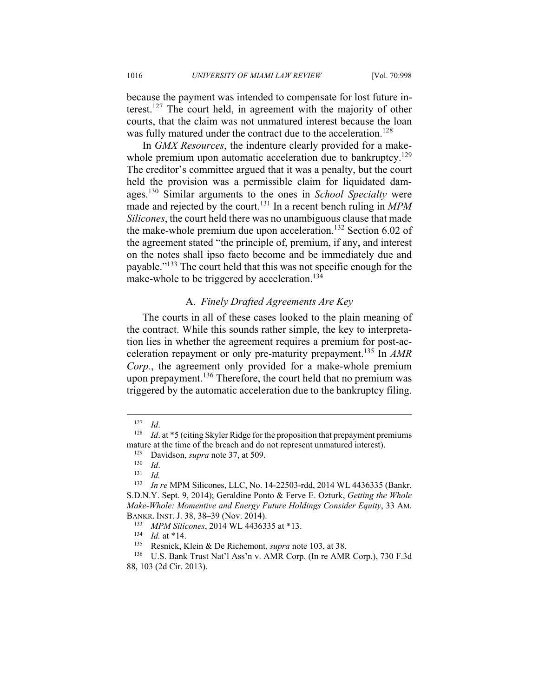because the payment was intended to compensate for lost future interest.127 The court held, in agreement with the majority of other courts, that the claim was not unmatured interest because the loan was fully matured under the contract due to the acceleration.<sup>128</sup>

In *GMX Resources*, the indenture clearly provided for a makewhole premium upon automatic acceleration due to bankruptcy.<sup>129</sup> The creditor's committee argued that it was a penalty, but the court held the provision was a permissible claim for liquidated damages.130 Similar arguments to the ones in *School Specialty* were made and rejected by the court.<sup>131</sup> In a recent bench ruling in *MPM Silicones*, the court held there was no unambiguous clause that made the make-whole premium due upon acceleration.<sup>132</sup> Section 6.02 of the agreement stated "the principle of, premium, if any, and interest on the notes shall ipso facto become and be immediately due and payable."133 The court held that this was not specific enough for the make-whole to be triggered by acceleration.<sup>134</sup>

# A. *Finely Drafted Agreements Are Key*

The courts in all of these cases looked to the plain meaning of the contract. While this sounds rather simple, the key to interpretation lies in whether the agreement requires a premium for post-acceleration repayment or only pre-maturity prepayment.135 In *AMR Corp.*, the agreement only provided for a make-whole premium upon prepayment.<sup>136</sup> Therefore, the court held that no premium was triggered by the automatic acceleration due to the bankruptcy filing.

<sup>&</sup>lt;sup>127</sup> *Id.* 128 *Id.* at \*5 (citing Skyler Ridge for the proposition that prepayment premiums mature at the time of the breach and do not represent unmatured interest).<br><sup>129</sup> Davidson, *supra* note 37, at 509.<br><sup>130</sup> *Id.*<br><sup>131</sup> *Id.*<br><sup>132</sup> *In re* MPM Silicones LLC No. 14-22503-rdd. 2014 WI. 4436335.

<sup>132</sup> *In re* MPM Silicones, LLC, No. 14-22503-rdd, 2014 WL 4436335 (Bankr. S.D.N.Y. Sept. 9, 2014); Geraldine Ponto & Ferve E. Ozturk, *Getting the Whole Make-Whole: Momentive and Energy Future Holdings Consider Equity*, 33 AM.

BANKR. INST. J. 38, 38–39 (Nov. 2014).<br>
<sup>133</sup> *MPM Silicones*, 2014 WL 4436335 at \*13.<br>
<sup>134</sup> *Id.* at \*14.<br>
<sup>135</sup> Resnick, Klein & De Richemont, *supra* note 103, at 38.<br>
<sup>136</sup> U.S. Bank Trust Nat'l Ass'n v. AMR Corp. (In 88, 103 (2d Cir. 2013).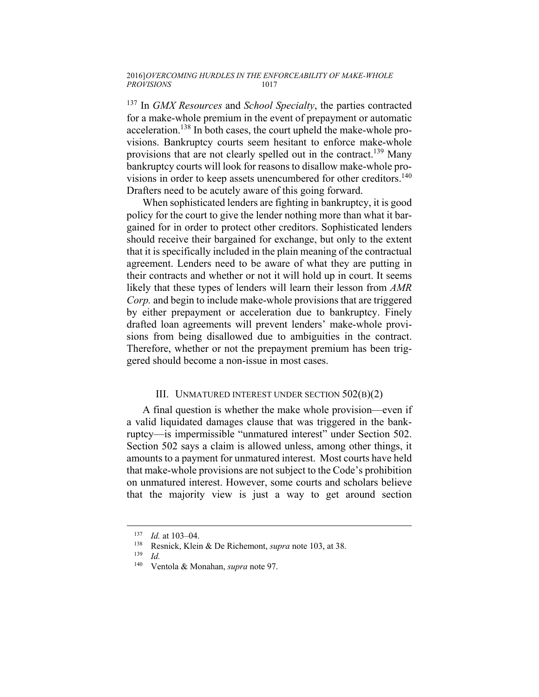137 In *GMX Resources* and *School Specialty*, the parties contracted for a make-whole premium in the event of prepayment or automatic acceleration.<sup>138</sup> In both cases, the court upheld the make-whole provisions. Bankruptcy courts seem hesitant to enforce make-whole provisions that are not clearly spelled out in the contract.<sup>139</sup> Many bankruptcy courts will look for reasons to disallow make-whole provisions in order to keep assets unencumbered for other creditors.<sup>140</sup> Drafters need to be acutely aware of this going forward.

When sophisticated lenders are fighting in bankruptcy, it is good policy for the court to give the lender nothing more than what it bargained for in order to protect other creditors. Sophisticated lenders should receive their bargained for exchange, but only to the extent that it is specifically included in the plain meaning of the contractual agreement. Lenders need to be aware of what they are putting in their contracts and whether or not it will hold up in court. It seems likely that these types of lenders will learn their lesson from *AMR Corp.* and begin to include make-whole provisions that are triggered by either prepayment or acceleration due to bankruptcy. Finely drafted loan agreements will prevent lenders' make-whole provisions from being disallowed due to ambiguities in the contract. Therefore, whether or not the prepayment premium has been triggered should become a non-issue in most cases.

## III. UNMATURED INTEREST UNDER SECTION 502(B)(2)

A final question is whether the make whole provision—even if a valid liquidated damages clause that was triggered in the bankruptcy—is impermissible "unmatured interest" under Section 502. Section 502 says a claim is allowed unless, among other things, it amounts to a payment for unmatured interest. Most courts have held that make-whole provisions are not subject to the Code's prohibition on unmatured interest. However, some courts and scholars believe that the majority view is just a way to get around section

<sup>137</sup> *Id.* at 103–04.<br>
<sup>138</sup> Resnick, Klein & De Richemont, *supra* note 103, at 38.<br>
<sup>140</sup> Ventola & Monahan, *supra* note 97

<sup>140</sup> Ventola & Monahan, *supra* note 97.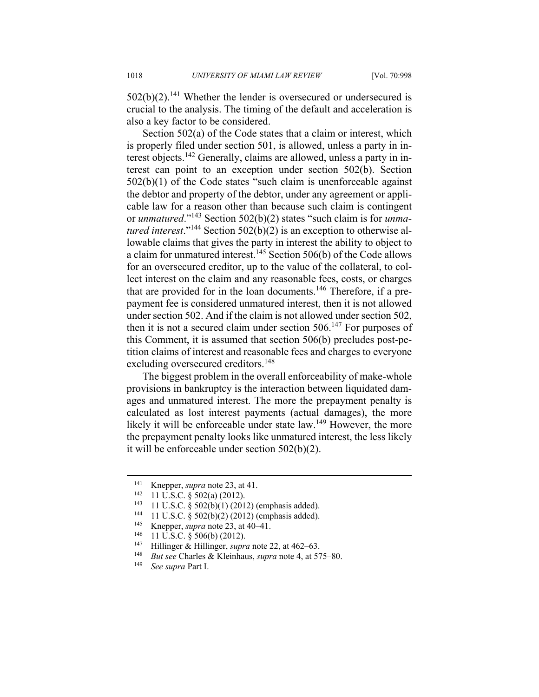$502(b)(2)$ .<sup>141</sup> Whether the lender is oversecured or undersecured is crucial to the analysis. The timing of the default and acceleration is also a key factor to be considered.

Section 502(a) of the Code states that a claim or interest, which is properly filed under section 501, is allowed, unless a party in interest objects.142 Generally, claims are allowed, unless a party in interest can point to an exception under section 502(b). Section 502(b)(1) of the Code states "such claim is unenforceable against the debtor and property of the debtor, under any agreement or applicable law for a reason other than because such claim is contingent or *unmatured*."143 Section 502(b)(2) states "such claim is for *unmatured interest*."144 Section 502(b)(2) is an exception to otherwise allowable claims that gives the party in interest the ability to object to a claim for unmatured interest.<sup>145</sup> Section 506(b) of the Code allows for an oversecured creditor, up to the value of the collateral, to collect interest on the claim and any reasonable fees, costs, or charges that are provided for in the loan documents.<sup>146</sup> Therefore, if a prepayment fee is considered unmatured interest, then it is not allowed under section 502. And if the claim is not allowed under section 502, then it is not a secured claim under section  $506$ .<sup>147</sup> For purposes of this Comment, it is assumed that section 506(b) precludes post-petition claims of interest and reasonable fees and charges to everyone excluding oversecured creditors.<sup>148</sup>

The biggest problem in the overall enforceability of make-whole provisions in bankruptcy is the interaction between liquidated damages and unmatured interest. The more the prepayment penalty is calculated as lost interest payments (actual damages), the more likely it will be enforceable under state law.<sup>149</sup> However, the more the prepayment penalty looks like unmatured interest, the less likely it will be enforceable under section 502(b)(2).

<sup>&</sup>lt;sup>141</sup> Knepper, *supra* note 23, at 41.<br>
<sup>142</sup> 11 U.S.C. § 502(a) (2012).<br>
<sup>143</sup> 11 U.S.C. § 502(b)(1) (2012) (emphasis added).<br>
<sup>144</sup> 11 U.S.C. § 502(b)(2) (2012) (emphasis added).<br>
<sup>145</sup> 11 U.S.C. § 506(b) (2012).<br>
<sup>145</sup>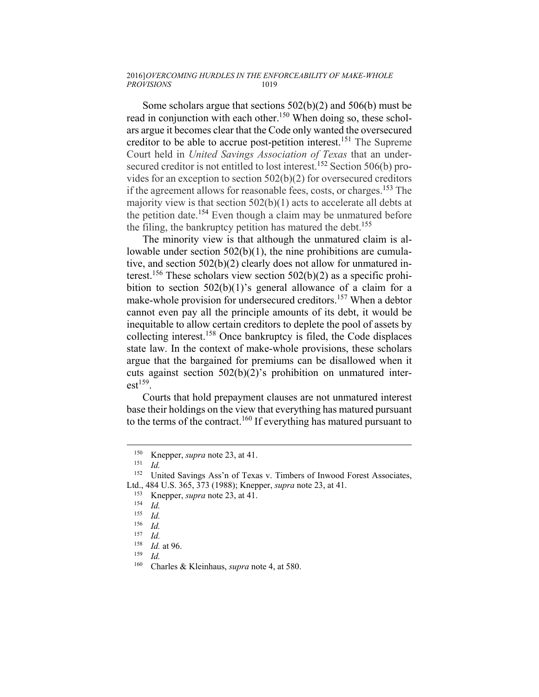### 2016] *OVERCOMING HURDLES IN THE ENFORCEABILITY OF MAKE-WHOLE PROVISIONS* 1019

Some scholars argue that sections 502(b)(2) and 506(b) must be read in conjunction with each other.<sup>150</sup> When doing so, these scholars argue it becomes clear that the Code only wanted the oversecured creditor to be able to accrue post-petition interest.151 The Supreme Court held in *United Savings Association of Texas* that an undersecured creditor is not entitled to lost interest.<sup>152</sup> Section 506(b) provides for an exception to section 502(b)(2) for oversecured creditors if the agreement allows for reasonable fees, costs, or charges.153 The majority view is that section  $502(b)(1)$  acts to accelerate all debts at the petition date.<sup>154</sup> Even though a claim may be unmatured before the filing, the bankruptcy petition has matured the debt.<sup>155</sup>

The minority view is that although the unmatured claim is allowable under section 502(b)(1), the nine prohibitions are cumulative, and section 502(b)(2) clearly does not allow for unmatured interest.<sup>156</sup> These scholars view section  $502(b)(2)$  as a specific prohibition to section 502(b)(1)'s general allowance of a claim for a make-whole provision for undersecured creditors.<sup>157</sup> When a debtor cannot even pay all the principle amounts of its debt, it would be inequitable to allow certain creditors to deplete the pool of assets by collecting interest.158 Once bankruptcy is filed, the Code displaces state law. In the context of make-whole provisions, these scholars argue that the bargained for premiums can be disallowed when it cuts against section 502(b)(2)'s prohibition on unmatured inter $est<sup>159</sup>$ .

Courts that hold prepayment clauses are not unmatured interest base their holdings on the view that everything has matured pursuant to the terms of the contract.160 If everything has matured pursuant to

<sup>150</sup> Knepper, *supra* note 23, at 41.<br>
<sup>151</sup> *Id.*<br>
<sup>152</sup> United Savings Ass'n of Texa

United Savings Ass'n of Texas v. Timbers of Inwood Forest Associates, Ltd., 484 U.S. 365, 373 (1988); Knepper, *supra* note 23, at 41.

<sup>153</sup> Knepper, *supra* note 23, at 41. 154 *Id.*

*Id.* 

<sup>156</sup> *Id.*

 $\frac{157}{158}$  *Id.* 

<sup>158</sup> *Id.* at 96. 159 *Id.*

Charles & Kleinhaus, *supra* note 4, at 580.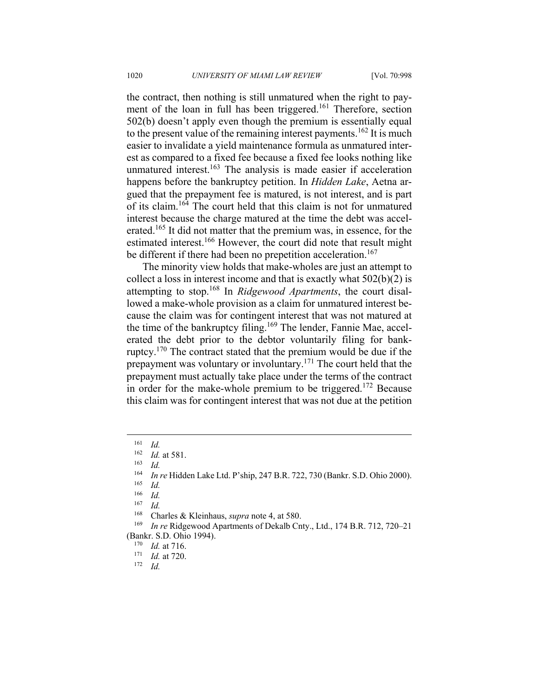the contract, then nothing is still unmatured when the right to payment of the loan in full has been triggered.<sup>161</sup> Therefore, section 502(b) doesn't apply even though the premium is essentially equal to the present value of the remaining interest payments.<sup>162</sup> It is much easier to invalidate a yield maintenance formula as unmatured interest as compared to a fixed fee because a fixed fee looks nothing like unmatured interest.<sup>163</sup> The analysis is made easier if acceleration happens before the bankruptcy petition. In *Hidden Lake*, Aetna argued that the prepayment fee is matured, is not interest, and is part of its claim.164 The court held that this claim is not for unmatured interest because the charge matured at the time the debt was accelerated.<sup>165</sup> It did not matter that the premium was, in essence, for the estimated interest.<sup>166</sup> However, the court did note that result might be different if there had been no prepetition acceleration.<sup>167</sup>

The minority view holds that make-wholes are just an attempt to collect a loss in interest income and that is exactly what 502(b)(2) is attempting to stop.168 In *Ridgewood Apartments*, the court disallowed a make-whole provision as a claim for unmatured interest because the claim was for contingent interest that was not matured at the time of the bankruptcy filing.<sup>169</sup> The lender, Fannie Mae, accelerated the debt prior to the debtor voluntarily filing for bankruptcy.170 The contract stated that the premium would be due if the prepayment was voluntary or involuntary.171 The court held that the prepayment must actually take place under the terms of the contract in order for the make-whole premium to be triggered.<sup>172</sup> Because this claim was for contingent interest that was not due at the petition

 $\frac{161}{162}$  *Id.* 

<sup>162</sup> *Id.* at 581. 163 *Id.*

<sup>164</sup> *In re* Hidden Lake Ltd. P'ship, 247 B.R. 722, 730 (Bankr. S.D. Ohio 2000). 165 *Id.*

 $\frac{166}{167}$  *Id.* 

 $\frac{167}{168}$  *Id.* 

<sup>&</sup>lt;sup>168</sup> Charles & Kleinhaus, *supra* note 4, at 580.<br><sup>169</sup> *In re* Ridgewood Apartments of Dekalb Cnty., Ltd., 174 B.R. 712, 720–21 (Bankr. S.D. Ohio 1994). 170 *Id.* at 716. 171 *Id.* at 720. 172 *Id.*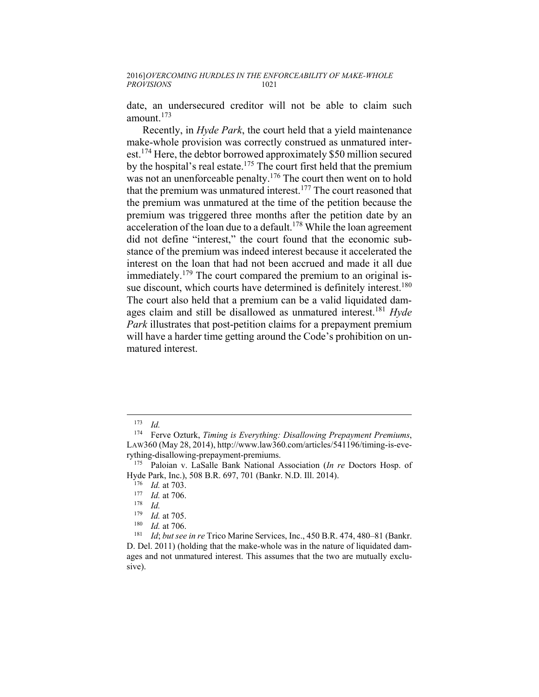date, an undersecured creditor will not be able to claim such amount.<sup>173</sup>

Recently, in *Hyde Park*, the court held that a yield maintenance make-whole provision was correctly construed as unmatured interest.<sup>174</sup> Here, the debtor borrowed approximately \$50 million secured by the hospital's real estate.<sup>175</sup> The court first held that the premium was not an unenforceable penalty.<sup>176</sup> The court then went on to hold that the premium was unmatured interest.177 The court reasoned that the premium was unmatured at the time of the petition because the premium was triggered three months after the petition date by an acceleration of the loan due to a default.<sup>178</sup> While the loan agreement did not define "interest," the court found that the economic substance of the premium was indeed interest because it accelerated the interest on the loan that had not been accrued and made it all due immediately.<sup>179</sup> The court compared the premium to an original issue discount, which courts have determined is definitely interest.<sup>180</sup> The court also held that a premium can be a valid liquidated damages claim and still be disallowed as unmatured interest.181 *Hyde Park* illustrates that post-petition claims for a prepayment premium will have a harder time getting around the Code's prohibition on unmatured interest.

<sup>173</sup> *Id.*

<sup>174</sup> Ferve Ozturk, *Timing is Everything: Disallowing Prepayment Premiums*, LAW360 (May 28, 2014), http://www.law360.com/articles/541196/timing-is-everything-disallowing-prepayment-premiums. 175 Paloian v. LaSalle Bank National Association (*In re* Doctors Hosp. of

Hyde Park, Inc.), 508 B.R. 697, 701 (Bankr. N.D. Ill. 2014).<br><sup>176</sup> *Id.* at 703.<br><sup>177</sup> *Id.* at 706.<br><sup>178</sup> *Id.* at 705

<sup>&</sup>lt;sup>179</sup> *Id.* at 705.<br><sup>180</sup> *Id.* at 706.<br><sup>181</sup> *Id: but see in re* Trico Marine Services, Inc., 450 B.R. 474, 480–81 (Bankr.) D. Del. 2011) (holding that the make-whole was in the nature of liquidated damages and not unmatured interest. This assumes that the two are mutually exclusive).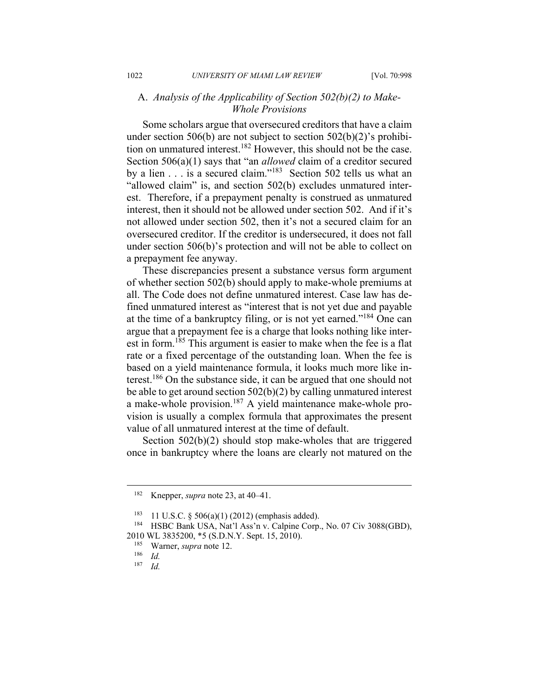# A. *Analysis of the Applicability of Section 502(b)(2) to Make-Whole Provisions*

Some scholars argue that oversecured creditors that have a claim under section 506(b) are not subject to section 502(b)(2)'s prohibition on unmatured interest.<sup>182</sup> However, this should not be the case. Section 506(a)(1) says that "an *allowed* claim of a creditor secured by a lien . . . is a secured claim."<sup>183</sup> Section 502 tells us what an "allowed claim" is, and section 502(b) excludes unmatured interest. Therefore, if a prepayment penalty is construed as unmatured interest, then it should not be allowed under section 502. And if it's not allowed under section 502, then it's not a secured claim for an oversecured creditor. If the creditor is undersecured, it does not fall under section 506(b)'s protection and will not be able to collect on a prepayment fee anyway.

These discrepancies present a substance versus form argument of whether section 502(b) should apply to make-whole premiums at all. The Code does not define unmatured interest. Case law has defined unmatured interest as "interest that is not yet due and payable at the time of a bankruptcy filing, or is not yet earned."184 One can argue that a prepayment fee is a charge that looks nothing like interest in form.185 This argument is easier to make when the fee is a flat rate or a fixed percentage of the outstanding loan. When the fee is based on a yield maintenance formula, it looks much more like interest.186 On the substance side, it can be argued that one should not be able to get around section 502(b)(2) by calling unmatured interest a make-whole provision.187 A yield maintenance make-whole provision is usually a complex formula that approximates the present value of all unmatured interest at the time of default.

Section 502(b)(2) should stop make-wholes that are triggered once in bankruptcy where the loans are clearly not matured on the

<sup>182</sup> Knepper, *supra* note 23, at 40–41.

<sup>&</sup>lt;sup>183</sup> 11 U.S.C. § 506(a)(1) (2012) (emphasis added).<br><sup>184</sup> HSBC Bank USA, Nat'l Ass'n v. Calpine Corp., No. 07 Civ 3088(GBD), 2010 WL 3835200, \*5 (S.D.N.Y. Sept. 15, 2010).<br><sup>185</sup> Warner, *supra* note 12.<br><sup>186</sup> Id.

<sup>187</sup> *Id.*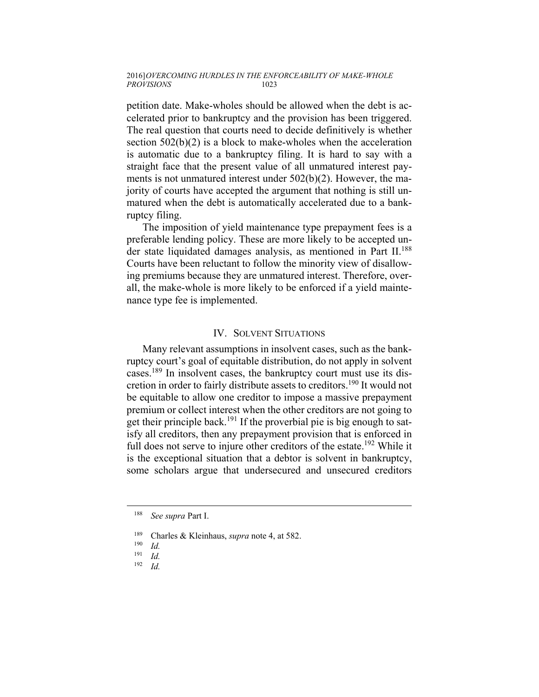petition date. Make-wholes should be allowed when the debt is accelerated prior to bankruptcy and the provision has been triggered. The real question that courts need to decide definitively is whether section 502(b)(2) is a block to make-wholes when the acceleration is automatic due to a bankruptcy filing. It is hard to say with a straight face that the present value of all unmatured interest payments is not unmatured interest under 502(b)(2). However, the majority of courts have accepted the argument that nothing is still unmatured when the debt is automatically accelerated due to a bankruptcy filing.

The imposition of yield maintenance type prepayment fees is a preferable lending policy. These are more likely to be accepted under state liquidated damages analysis, as mentioned in Part II.<sup>188</sup> Courts have been reluctant to follow the minority view of disallowing premiums because they are unmatured interest. Therefore, overall, the make-whole is more likely to be enforced if a yield maintenance type fee is implemented.

## IV. SOLVENT SITUATIONS

Many relevant assumptions in insolvent cases, such as the bankruptcy court's goal of equitable distribution, do not apply in solvent cases.189 In insolvent cases, the bankruptcy court must use its discretion in order to fairly distribute assets to creditors.<sup>190</sup> It would not be equitable to allow one creditor to impose a massive prepayment premium or collect interest when the other creditors are not going to get their principle back.<sup>191</sup> If the proverbial pie is big enough to satisfy all creditors, then any prepayment provision that is enforced in full does not serve to injure other creditors of the estate.<sup>192</sup> While it is the exceptional situation that a debtor is solvent in bankruptcy, some scholars argue that undersecured and unsecured creditors

<sup>188</sup> *See supra* Part I.

<sup>189</sup> Charles & Kleinhaus, *supra* note 4, at 582. 190 *Id.*

 $\frac{191}{192}$  *Id.* 

<sup>192</sup> *Id.*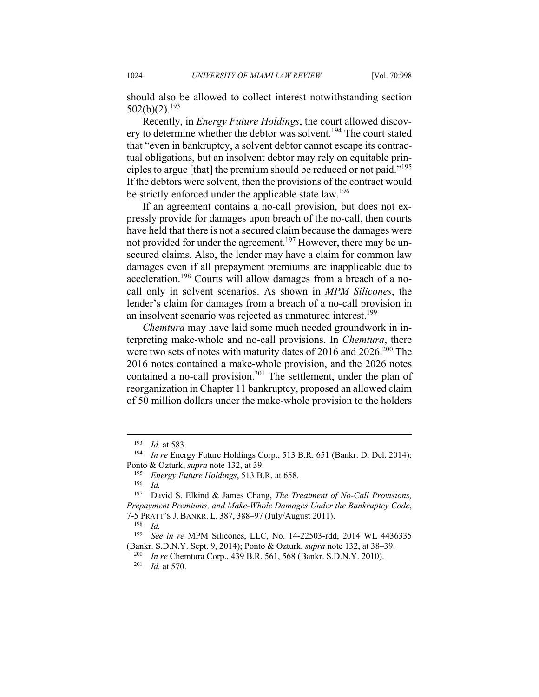1024 *UNIVERSITY OF MIAMI LAW REVIEW* [Vol. 70:998

should also be allowed to collect interest notwithstanding section  $502(b)(2)$ <sup>193</sup>

Recently, in *Energy Future Holdings*, the court allowed discovery to determine whether the debtor was solvent.<sup>194</sup> The court stated that "even in bankruptcy, a solvent debtor cannot escape its contractual obligations, but an insolvent debtor may rely on equitable principles to argue [that] the premium should be reduced or not paid."195 If the debtors were solvent, then the provisions of the contract would be strictly enforced under the applicable state law.<sup>196</sup>

If an agreement contains a no-call provision, but does not expressly provide for damages upon breach of the no-call, then courts have held that there is not a secured claim because the damages were not provided for under the agreement.<sup>197</sup> However, there may be unsecured claims. Also, the lender may have a claim for common law damages even if all prepayment premiums are inapplicable due to acceleration.198 Courts will allow damages from a breach of a nocall only in solvent scenarios. As shown in *MPM Silicones*, the lender's claim for damages from a breach of a no-call provision in an insolvent scenario was rejected as unmatured interest.<sup>199</sup>

*Chemtura* may have laid some much needed groundwork in interpreting make-whole and no-call provisions. In *Chemtura*, there were two sets of notes with maturity dates of 2016 and 2026.<sup>200</sup> The 2016 notes contained a make-whole provision, and the 2026 notes contained a no-call provision.<sup>201</sup> The settlement, under the plan of reorganization in Chapter 11 bankruptcy, proposed an allowed claim of 50 million dollars under the make-whole provision to the holders

<sup>193</sup> *Id.* at 583. 194 *In re* Energy Future Holdings Corp., 513 B.R. 651 (Bankr. D. Del. 2014); Ponto & Ozturk, *supra* note 132, at 39.<br><sup>195</sup> *Energy Future Holdings*, 513 B.R. at 658.

 $\frac{196}{197}$  *Id.* 

<sup>197</sup> David S. Elkind & James Chang, *The Treatment of No-Call Provisions, Prepayment Premiums, and Make-Whole Damages Under the Bankruptcy Code*, 7-5 PRATT'S J. BANKR. L. 387, 388–97 (July/August 2011). 198 *Id.*

<sup>&</sup>lt;sup>199</sup> See in re MPM Silicones, LLC, No. 14-22503-rdd, 2014 WL 4436335 (Bankr. S.D.N.Y. Sept. 9, 2014); Ponto & Ozturk, *supra* note 132, at 38–39.

<sup>&</sup>lt;sup>200</sup> In re Chemtura Corp., 439 B.R. 561, 568 (Bankr. S.D.N.Y. 2010).<br><sup>201</sup> Id. at 570.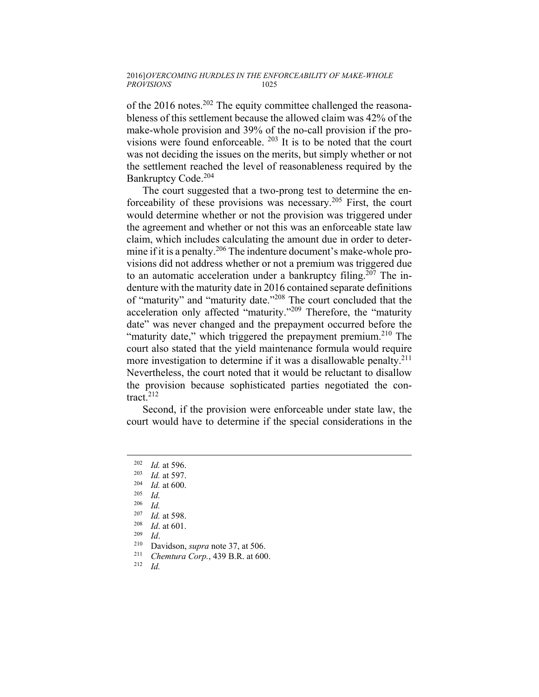of the 2016 notes.<sup>202</sup> The equity committee challenged the reasonableness of this settlement because the allowed claim was 42% of the make-whole provision and 39% of the no-call provision if the provisions were found enforceable. 203 It is to be noted that the court was not deciding the issues on the merits, but simply whether or not the settlement reached the level of reasonableness required by the Bankruptcy Code.<sup>204</sup>

The court suggested that a two-prong test to determine the enforceability of these provisions was necessary.<sup>205</sup> First, the court would determine whether or not the provision was triggered under the agreement and whether or not this was an enforceable state law claim, which includes calculating the amount due in order to determine if it is a penalty.<sup>206</sup> The indenture document's make-whole provisions did not address whether or not a premium was triggered due to an automatic acceleration under a bankruptcy filing.<sup>207</sup> The indenture with the maturity date in 2016 contained separate definitions of "maturity" and "maturity date."208 The court concluded that the acceleration only affected "maturity."209 Therefore, the "maturity date" was never changed and the prepayment occurred before the "maturity date," which triggered the prepayment premium.<sup>210</sup> The court also stated that the yield maintenance formula would require more investigation to determine if it was a disallowable penalty.<sup>211</sup> Nevertheless, the court noted that it would be reluctant to disallow the provision because sophisticated parties negotiated the contract.<sup>212</sup>

Second, if the provision were enforceable under state law, the court would have to determine if the special considerations in the

- 
- 
- <sup>207</sup> *Id.* at 598. 208 *Id*. at 601. 209 *Id*. 210 Davidson, *supra* note 37, at 506. 211 *Chemtura Corp.*, 439 B.R. at 600. 212 *Id.*
- 

<sup>202</sup> *Id.* at 596. 203 *Id.* at 597. 204 *Id.* at 600. 205 *Id.*

 $\frac{206}{207}$  *Id.*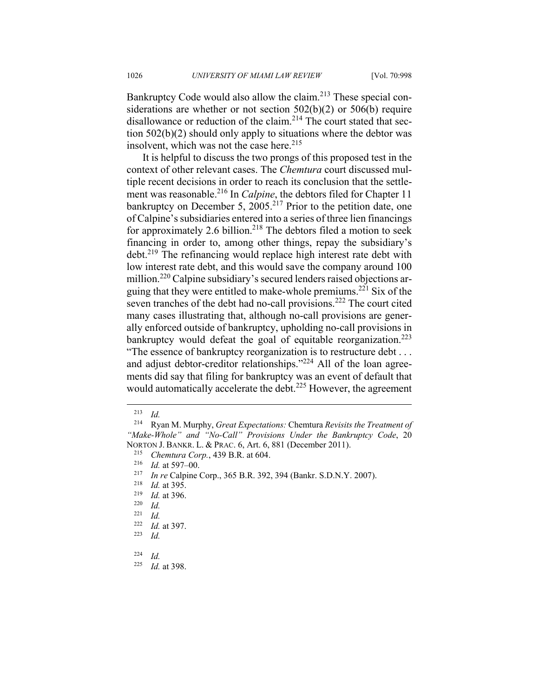Bankruptcy Code would also allow the claim.<sup>213</sup> These special considerations are whether or not section 502(b)(2) or 506(b) require disallowance or reduction of the claim.<sup>214</sup> The court stated that section 502(b)(2) should only apply to situations where the debtor was insolvent, which was not the case here. $215$ 

It is helpful to discuss the two prongs of this proposed test in the context of other relevant cases. The *Chemtura* court discussed multiple recent decisions in order to reach its conclusion that the settlement was reasonable.<sup>216</sup> In *Calpine*, the debtors filed for Chapter 11 bankruptcy on December 5,  $2005.<sup>217</sup>$  Prior to the petition date, one of Calpine's subsidiaries entered into a series of three lien financings for approximately 2.6 billion.<sup>218</sup> The debtors filed a motion to seek financing in order to, among other things, repay the subsidiary's debt.219 The refinancing would replace high interest rate debt with low interest rate debt, and this would save the company around 100 million.<sup>220</sup> Calpine subsidiary's secured lenders raised objections arguing that they were entitled to make-whole premiums.<sup>221</sup> Six of the seven tranches of the debt had no-call provisions.<sup>222</sup> The court cited many cases illustrating that, although no-call provisions are generally enforced outside of bankruptcy, upholding no-call provisions in bankruptcy would defeat the goal of equitable reorganization.<sup>223</sup> "The essence of bankruptcy reorganization is to restructure debt . . . and adjust debtor-creditor relationships."<sup>224</sup> All of the loan agree-

ments did say that filing for bankruptcy was an event of default that would automatically accelerate the debt.<sup>225</sup> However, the agreement

 $\frac{213}{214}$  *Id.* 

<sup>214</sup> Ryan M. Murphy, *Great Expectations:* Chemtura *Revisits the Treatment of "Make-Whole" and "No-Call" Provisions Under the Bankruptcy Code*, 20

NORTON J. BANKR. L. & PRAC. 6, Art. 6, 881 (December 2011).<br>
<sup>215</sup> *Chemtura Corp.*, 439 B.R. at 604.<br>
<sup>216</sup> *Id.* at 597–00.<br>
<sup>217</sup> *In re* Calpine Corp., 365 B.R. 392, 394 (Bankr. S.D.N.Y. 2007).<br>
<sup>218</sup> *Id.* at 395.<br>
<sup>2</sup>

*Id.* 

<sup>222</sup> *Id.* at 397. 223 *Id.* 

 $\frac{224}{225}$  *Id.* 

*Id.* at 398.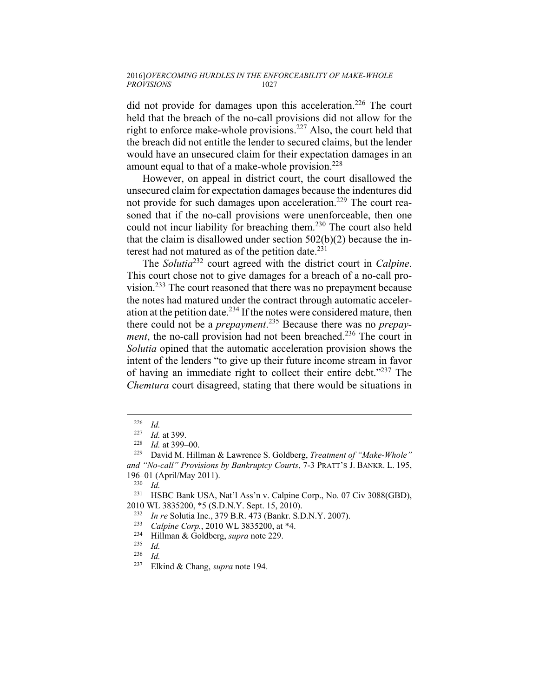did not provide for damages upon this acceleration.<sup>226</sup> The court held that the breach of the no-call provisions did not allow for the right to enforce make-whole provisions.227 Also, the court held that the breach did not entitle the lender to secured claims, but the lender would have an unsecured claim for their expectation damages in an amount equal to that of a make-whole provision.<sup>228</sup>

However, on appeal in district court, the court disallowed the unsecured claim for expectation damages because the indentures did not provide for such damages upon acceleration.<sup>229</sup> The court reasoned that if the no-call provisions were unenforceable, then one could not incur liability for breaching them.<sup>230</sup> The court also held that the claim is disallowed under section 502(b)(2) because the interest had not matured as of the petition date. $^{231}$ 

The *Solutia*232 court agreed with the district court in *Calpine*. This court chose not to give damages for a breach of a no-call provision.233 The court reasoned that there was no prepayment because the notes had matured under the contract through automatic acceleration at the petition date.<sup>234</sup> If the notes were considered mature, then there could not be a *prepayment*. 235 Because there was no *prepayment*, the no-call provision had not been breached.<sup>236</sup> The court in *Solutia* opined that the automatic acceleration provision shows the intent of the lenders "to give up their future income stream in favor of having an immediate right to collect their entire debt."237 The *Chemtura* court disagreed, stating that there would be situations in

<sup>226</sup> *Id.*

<sup>227</sup> *Id.* at 399. 228 *Id.* at 399–00. 229 David M. Hillman & Lawrence S. Goldberg, *Treatment of "Make-Whole" and "No-call" Provisions by Bankruptcy Courts*, 7-3 PRATT'S J. BANKR. L. 195,

<sup>196–01 (</sup>April/May 2011). 230 *Id.*

<sup>231</sup> HSBC Bank USA, Nat'l Ass'n v. Calpine Corp., No. 07 Civ 3088(GBD),

<sup>2010</sup> WL 3835200, \*5 (S.D.N.Y. Sept. 15, 2010).<br>
<sup>232</sup> In re Solutia Inc., 379 B.R. 473 (Bankr. S.D.N.Y. 2007).<br>
<sup>233</sup> Calpine Corp., 2010 WL 3835200, at \*4.<br>
<sup>234</sup> Hillman & Goldberg, *supra* note 229.<br>
<sup>235</sup> Id.

 $\frac{236}{237}$  *Id.* 

Elkind & Chang, *supra* note 194.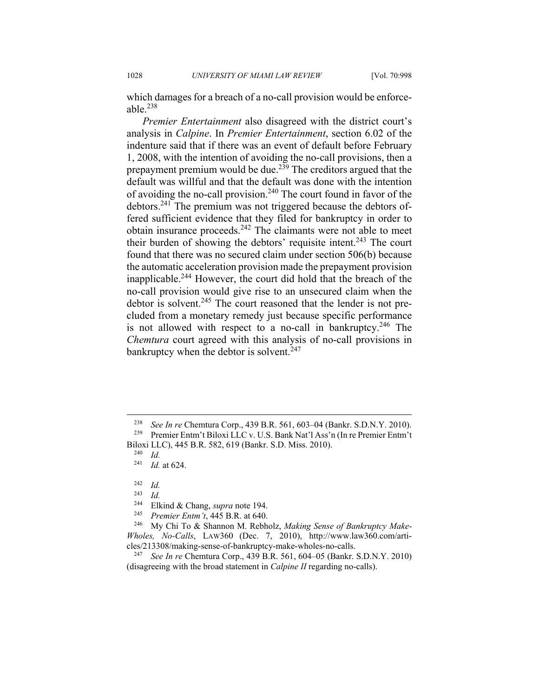1028 *UNIVERSITY OF MIAMI LAW REVIEW* [Vol. 70:998

which damages for a breach of a no-call provision would be enforceable  $^{238}$ 

*Premier Entertainment* also disagreed with the district court's analysis in *Calpine*. In *Premier Entertainment*, section 6.02 of the indenture said that if there was an event of default before February 1, 2008, with the intention of avoiding the no-call provisions, then a prepayment premium would be due.239 The creditors argued that the default was willful and that the default was done with the intention of avoiding the no-call provision.<sup>240</sup> The court found in favor of the debtors.241 The premium was not triggered because the debtors offered sufficient evidence that they filed for bankruptcy in order to obtain insurance proceeds.242 The claimants were not able to meet their burden of showing the debtors' requisite intent.<sup>243</sup> The court found that there was no secured claim under section 506(b) because the automatic acceleration provision made the prepayment provision inapplicable.244 However, the court did hold that the breach of the no-call provision would give rise to an unsecured claim when the debtor is solvent.<sup>245</sup> The court reasoned that the lender is not precluded from a monetary remedy just because specific performance is not allowed with respect to a no-call in bankruptcy.<sup>246</sup> The *Chemtura* court agreed with this analysis of no-call provisions in bankruptcy when the debtor is solvent.<sup>247</sup>

<sup>&</sup>lt;sup>238</sup> See In re Chemtura Corp., 439 B.R. 561, 603–04 (Bankr. S.D.N.Y. 2010).<br><sup>239</sup> Premier Entm't Biloxi LLC v. U.S. Bank Nat'l Ass'n (In re Premier Entm't

Biloxi LLC), 445 B.R. 582, 619 (Bankr. S.D. Miss. 2010). 240 *Id.* 

*Id.* at 624.

 $\frac{242}{243}$  *Id.* 

<sup>243</sup> *Id.*

<sup>244</sup> Elkind & Chang, *supra* note 194. 245 *Premier Entm't*, 445 B.R. at 640. 246 My Chi To & Shannon M. Rebholz, *Making Sense of Bankruptcy Make-Wholes, No-Calls*, LAW360 (Dec. 7, 2010), http://www.law360.com/articles/213308/making-sense-of-bankruptcy-make-wholes-no-calls. 247 *See In re* Chemtura Corp., 439 B.R. 561, 604–05 (Bankr. S.D.N.Y. 2010)

<sup>(</sup>disagreeing with the broad statement in *Calpine II* regarding no-calls).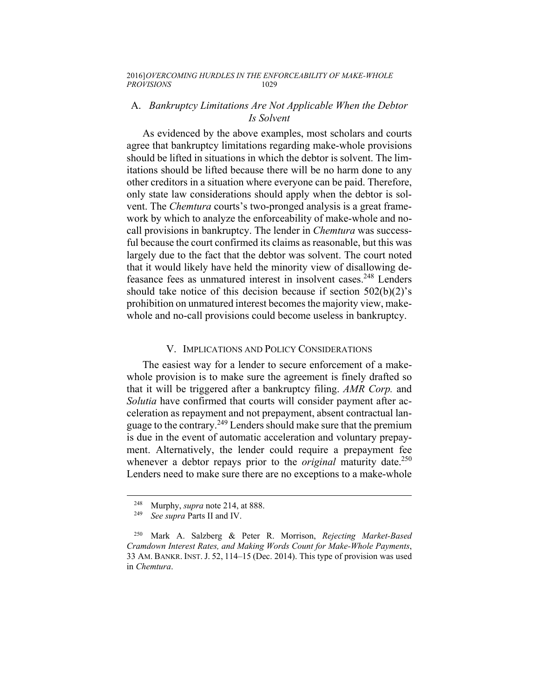## A. *Bankruptcy Limitations Are Not Applicable When the Debtor Is Solvent*

As evidenced by the above examples, most scholars and courts agree that bankruptcy limitations regarding make-whole provisions should be lifted in situations in which the debtor is solvent. The limitations should be lifted because there will be no harm done to any other creditors in a situation where everyone can be paid. Therefore, only state law considerations should apply when the debtor is solvent. The *Chemtura* courts's two-pronged analysis is a great framework by which to analyze the enforceability of make-whole and nocall provisions in bankruptcy. The lender in *Chemtura* was successful because the court confirmed its claims as reasonable, but this was largely due to the fact that the debtor was solvent. The court noted that it would likely have held the minority view of disallowing defeasance fees as unmatured interest in insolvent cases.<sup>248</sup> Lenders should take notice of this decision because if section 502(b)(2)'s prohibition on unmatured interest becomes the majority view, makewhole and no-call provisions could become useless in bankruptcy.

## V. IMPLICATIONS AND POLICY CONSIDERATIONS

The easiest way for a lender to secure enforcement of a makewhole provision is to make sure the agreement is finely drafted so that it will be triggered after a bankruptcy filing. *AMR Corp.* and *Solutia* have confirmed that courts will consider payment after acceleration as repayment and not prepayment, absent contractual language to the contrary.<sup>249</sup> Lenders should make sure that the premium is due in the event of automatic acceleration and voluntary prepayment. Alternatively, the lender could require a prepayment fee whenever a debtor repays prior to the *original* maturity date.<sup>250</sup> Lenders need to make sure there are no exceptions to a make-whole

<sup>248</sup> Murphy, *supra* note 214, at 888. 249 *See supra* Parts II and IV.

<sup>250</sup> Mark A. Salzberg & Peter R. Morrison, *Rejecting Market-Based Cramdown Interest Rates, and Making Words Count for Make-Whole Payments*, 33 AM. BANKR. INST. J. 52, 114–15 (Dec. 2014). This type of provision was used in *Chemtura*.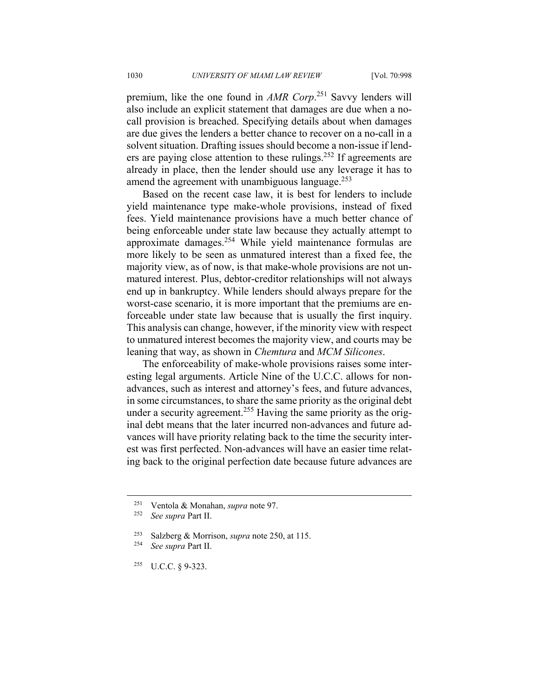premium, like the one found in *AMR Corp*. 251 Savvy lenders will also include an explicit statement that damages are due when a nocall provision is breached. Specifying details about when damages are due gives the lenders a better chance to recover on a no-call in a solvent situation. Drafting issues should become a non-issue if lenders are paying close attention to these rulings.<sup>252</sup> If agreements are already in place, then the lender should use any leverage it has to amend the agreement with unambiguous language. $^{253}$ 

Based on the recent case law, it is best for lenders to include yield maintenance type make-whole provisions, instead of fixed fees. Yield maintenance provisions have a much better chance of being enforceable under state law because they actually attempt to approximate damages.254 While yield maintenance formulas are more likely to be seen as unmatured interest than a fixed fee, the majority view, as of now, is that make-whole provisions are not unmatured interest. Plus, debtor-creditor relationships will not always end up in bankruptcy. While lenders should always prepare for the worst-case scenario, it is more important that the premiums are enforceable under state law because that is usually the first inquiry. This analysis can change, however, if the minority view with respect to unmatured interest becomes the majority view, and courts may be leaning that way, as shown in *Chemtura* and *MCM Silicones*.

The enforceability of make-whole provisions raises some interesting legal arguments. Article Nine of the U.C.C. allows for nonadvances, such as interest and attorney's fees, and future advances, in some circumstances, to share the same priority as the original debt under a security agreement.<sup>255</sup> Having the same priority as the original debt means that the later incurred non-advances and future advances will have priority relating back to the time the security interest was first perfected. Non-advances will have an easier time relating back to the original perfection date because future advances are

 $\overline{a}$ 

255 U.C.C. § 9-323.

<sup>251</sup> Ventola & Monahan, *supra* note 97. 252 *See supra* Part II.

<sup>253</sup> Salzberg & Morrison, *supra* note 250, at 115. 254 *See supra* Part II.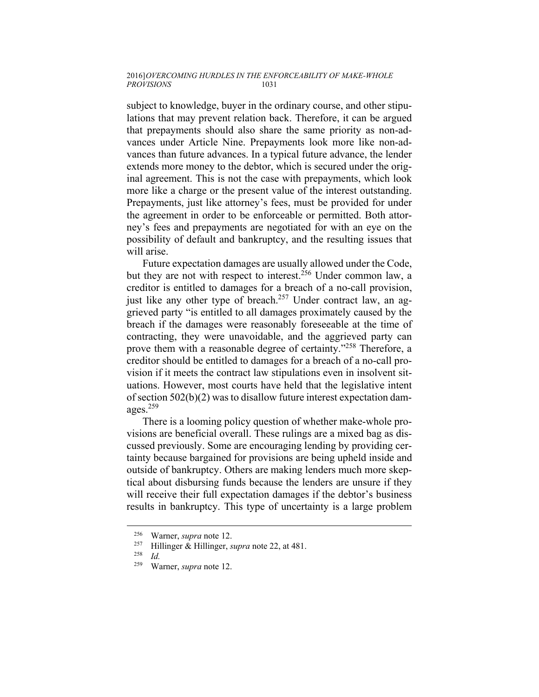### 2016] *OVERCOMING HURDLES IN THE ENFORCEABILITY OF MAKE-WHOLE*   $PROVISIONS$

subject to knowledge, buyer in the ordinary course, and other stipulations that may prevent relation back. Therefore, it can be argued that prepayments should also share the same priority as non-advances under Article Nine. Prepayments look more like non-advances than future advances. In a typical future advance, the lender extends more money to the debtor, which is secured under the original agreement. This is not the case with prepayments, which look more like a charge or the present value of the interest outstanding. Prepayments, just like attorney's fees, must be provided for under the agreement in order to be enforceable or permitted. Both attorney's fees and prepayments are negotiated for with an eye on the possibility of default and bankruptcy, and the resulting issues that will arise.

Future expectation damages are usually allowed under the Code, but they are not with respect to interest.<sup>256</sup> Under common law, a creditor is entitled to damages for a breach of a no-call provision, just like any other type of breach.<sup>257</sup> Under contract law, an aggrieved party "is entitled to all damages proximately caused by the breach if the damages were reasonably foreseeable at the time of contracting, they were unavoidable, and the aggrieved party can prove them with a reasonable degree of certainty."258 Therefore, a creditor should be entitled to damages for a breach of a no-call provision if it meets the contract law stipulations even in insolvent situations. However, most courts have held that the legislative intent of section 502(b)(2) was to disallow future interest expectation damages.259

There is a looming policy question of whether make-whole provisions are beneficial overall. These rulings are a mixed bag as discussed previously. Some are encouraging lending by providing certainty because bargained for provisions are being upheld inside and outside of bankruptcy. Others are making lenders much more skeptical about disbursing funds because the lenders are unsure if they will receive their full expectation damages if the debtor's business results in bankruptcy. This type of uncertainty is a large problem

<sup>256</sup> Warner, *supra* note 12. 257 Hillinger & Hillinger, *supra* note 22, at 481. 258 *Id.*

<sup>259</sup> Warner, *supra* note 12.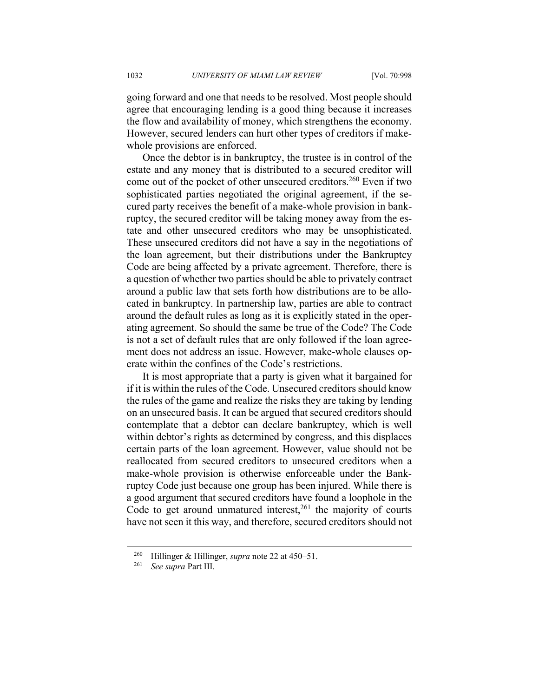going forward and one that needs to be resolved. Most people should agree that encouraging lending is a good thing because it increases the flow and availability of money, which strengthens the economy. However, secured lenders can hurt other types of creditors if makewhole provisions are enforced.

Once the debtor is in bankruptcy, the trustee is in control of the estate and any money that is distributed to a secured creditor will come out of the pocket of other unsecured creditors.<sup>260</sup> Even if two sophisticated parties negotiated the original agreement, if the secured party receives the benefit of a make-whole provision in bankruptcy, the secured creditor will be taking money away from the estate and other unsecured creditors who may be unsophisticated. These unsecured creditors did not have a say in the negotiations of the loan agreement, but their distributions under the Bankruptcy Code are being affected by a private agreement. Therefore, there is a question of whether two parties should be able to privately contract around a public law that sets forth how distributions are to be allocated in bankruptcy. In partnership law, parties are able to contract around the default rules as long as it is explicitly stated in the operating agreement. So should the same be true of the Code? The Code is not a set of default rules that are only followed if the loan agreement does not address an issue. However, make-whole clauses operate within the confines of the Code's restrictions.

It is most appropriate that a party is given what it bargained for if it is within the rules of the Code. Unsecured creditors should know the rules of the game and realize the risks they are taking by lending on an unsecured basis. It can be argued that secured creditors should contemplate that a debtor can declare bankruptcy, which is well within debtor's rights as determined by congress, and this displaces certain parts of the loan agreement. However, value should not be reallocated from secured creditors to unsecured creditors when a make-whole provision is otherwise enforceable under the Bankruptcy Code just because one group has been injured. While there is a good argument that secured creditors have found a loophole in the Code to get around unmatured interest, $261$  the majority of courts have not seen it this way, and therefore, secured creditors should not

<sup>260</sup> Hillinger & Hillinger, *supra* note 22 at 450–51. 261 *See supra* Part III.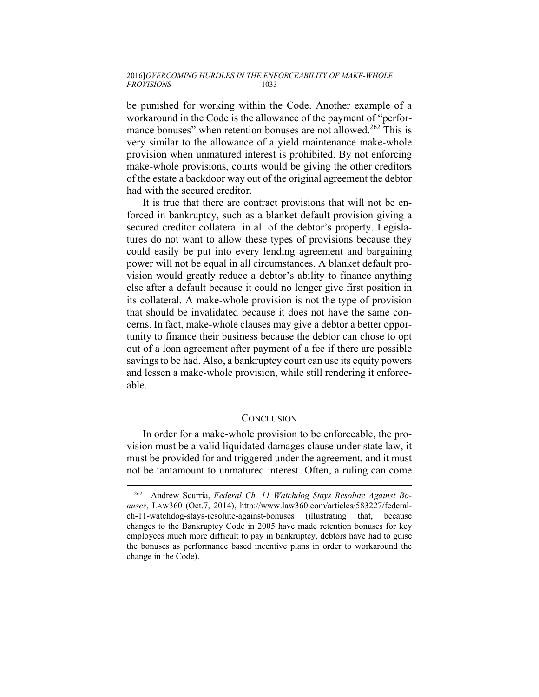be punished for working within the Code. Another example of a workaround in the Code is the allowance of the payment of "performance bonuses" when retention bonuses are not allowed.<sup>262</sup> This is very similar to the allowance of a yield maintenance make-whole provision when unmatured interest is prohibited. By not enforcing make-whole provisions, courts would be giving the other creditors of the estate a backdoor way out of the original agreement the debtor had with the secured creditor.

It is true that there are contract provisions that will not be enforced in bankruptcy, such as a blanket default provision giving a secured creditor collateral in all of the debtor's property. Legislatures do not want to allow these types of provisions because they could easily be put into every lending agreement and bargaining power will not be equal in all circumstances. A blanket default provision would greatly reduce a debtor's ability to finance anything else after a default because it could no longer give first position in its collateral. A make-whole provision is not the type of provision that should be invalidated because it does not have the same concerns. In fact, make-whole clauses may give a debtor a better opportunity to finance their business because the debtor can chose to opt out of a loan agreement after payment of a fee if there are possible savings to be had. Also, a bankruptcy court can use its equity powers and lessen a make-whole provision, while still rendering it enforceable.

## **CONCLUSION**

In order for a make-whole provision to be enforceable, the provision must be a valid liquidated damages clause under state law, it must be provided for and triggered under the agreement, and it must not be tantamount to unmatured interest. Often, a ruling can come

<sup>262</sup> Andrew Scurria, *Federal Ch. 11 Watchdog Stays Resolute Against Bonuses*, LAW360 (Oct.7, 2014), http://www.law360.com/articles/583227/federalch-11-watchdog-stays-resolute-against-bonuses (illustrating that, because changes to the Bankruptcy Code in 2005 have made retention bonuses for key employees much more difficult to pay in bankruptcy, debtors have had to guise the bonuses as performance based incentive plans in order to workaround the change in the Code).